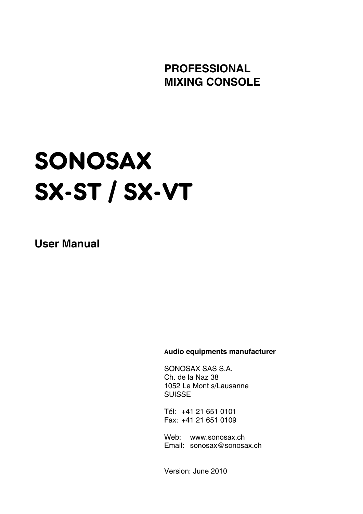**PROFESSIONAL MIXING CONSOLE** 

# SONOSAX SX-ST / SX-VT

**User Manual** 

 **Audio equipments manufacturer**

 SONOSAX SAS S.A. Ch. de la Naz 38 1052 Le Mont s/Lausanne **SUISSE** 

 Tél: +41 21 651 0101 Fax: +41 21 651 0109

 Web: www.sonosax.ch Email: sonosax@sonosax.ch

Version: June 2010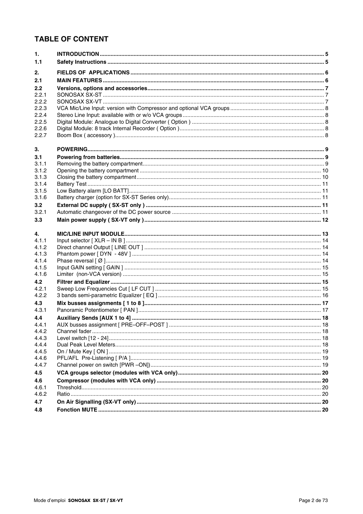## **TABLE OF CONTENT**

| $\mathbf{1}$ . |  |
|----------------|--|
| 1.1            |  |
| 2.             |  |
| 2.1            |  |
| 2.2            |  |
| 2.2.1          |  |
| 2.2.2          |  |
| 2.2.3          |  |
| 2.2.4          |  |
| 2.2.5          |  |
| 2.2.6          |  |
| 2.2.7          |  |
| 3.             |  |
| 3.1            |  |
| 3.1.1          |  |
| 3.1.2          |  |
| 3.1.3          |  |
| 3.1.4          |  |
| 3.1.5          |  |
| 3.1.6          |  |
| 3.2            |  |
| 3.2.1          |  |
| 3.3            |  |
| 4.             |  |
| 4.1.1          |  |
| 4.1.2          |  |
| 4.1.3          |  |
| 4.1.4          |  |
| 4.1.5          |  |
| 4.1.6          |  |
| 4.2            |  |
| 4.2.1          |  |
| 4.2.2          |  |
| 4.3            |  |
| 4.3.1          |  |
| 4.4            |  |
| 4.4.1          |  |
| 4.4.2          |  |
| 4.4.3          |  |
| 4.4.4          |  |
| 4.4.5          |  |
| 4.4.6          |  |
| 4.4.7          |  |
| 4.5            |  |
| 4.6            |  |
| 4.6.1          |  |
| 4.6.2          |  |
| 4.7            |  |
| 4.8            |  |
|                |  |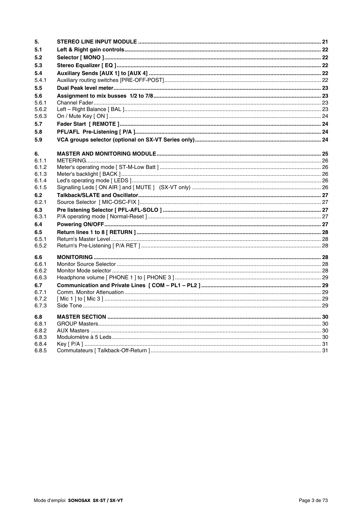| 5.             |  |
|----------------|--|
| 5.1            |  |
| 5.2            |  |
| 5.3            |  |
| 5.4            |  |
| 5.4.1          |  |
| 5.5            |  |
| 5.6            |  |
| 5.6.1          |  |
| 5.6.2          |  |
| 5.6.3          |  |
| 5.7            |  |
| 5.8            |  |
| 5.9            |  |
| 6.             |  |
| 6.1.1          |  |
| 6.1.2          |  |
| 6.1.3<br>6.1.4 |  |
| 6.1.5          |  |
| 6.2            |  |
| 6.2.1          |  |
| 6.3            |  |
| 6.3.1          |  |
| 6.4            |  |
| 6.5            |  |
| 6.5.1          |  |
| 6.5.2          |  |
| 6.6            |  |
| 6.6.1          |  |
| 6.6.2          |  |
| 6.6.3          |  |
| 6.7<br>6.7.1   |  |
| 6.7.2          |  |
| 6.7.3          |  |
| 6.8            |  |
| 6.8.1          |  |
| 6.8.2          |  |
| 6.8.3          |  |
| 6.8.4<br>6.8.5 |  |
|                |  |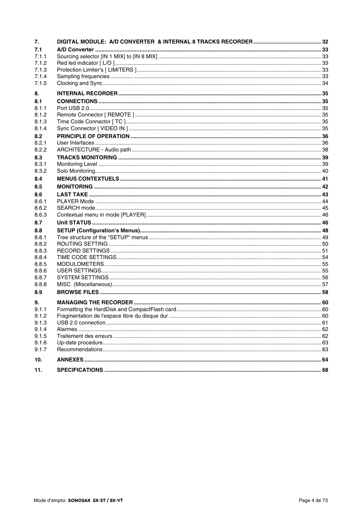| 7.             |  |
|----------------|--|
| 7.1            |  |
| 7.1.1          |  |
| 7.1.2          |  |
| 7.1.3          |  |
| 7.1.4          |  |
| 7.1.5          |  |
| 8.             |  |
| 8.1            |  |
| 8.1.1          |  |
| 8.1.2          |  |
| 8.1.3          |  |
| 8.1.4          |  |
| 8.2            |  |
| 8.2.1          |  |
| 8.2.2          |  |
| 8.3            |  |
| 8.3.1          |  |
| 8.3.2          |  |
| 8.4            |  |
| 8.5            |  |
| 8.6            |  |
| 8.6.1          |  |
| 8.6.2          |  |
| 8.6.3          |  |
| 8.7            |  |
| 8.8            |  |
| 8.8.1          |  |
| 8.8.2          |  |
| 8.8.3          |  |
| 8.8.4          |  |
| 8.8.5          |  |
| 8.8.6          |  |
| 8.8.7<br>8.8.8 |  |
| 8.9            |  |
|                |  |
| 9.             |  |
| 9.1.1          |  |
| 9.1.2<br>9.1.3 |  |
| 9.1.4          |  |
| 9.1.5          |  |
| 9.1.6          |  |
| 9.1.7          |  |
| 10.            |  |
| 11.            |  |
|                |  |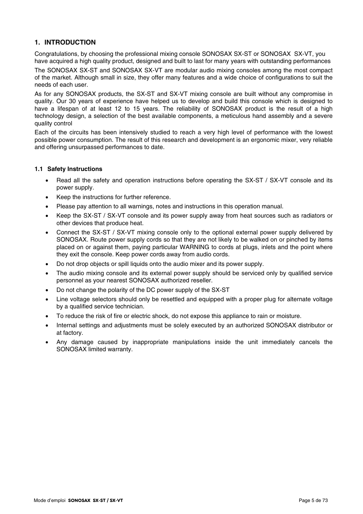## **1. INTRODUCTION**

Congratulations, by choosing the professional mixing console SONOSAX SX-ST or SONOSAX SX-VT, you have acquired a high quality product, designed and built to last for many years with outstanding performances

The SONOSAX SX-ST and SONOSAX SX-VT are modular audio mixing consoles among the most compact of the market. Although small in size, they offer many features and a wide choice of configurations to suit the needs of each user.

As for any SONOSAX products, the SX-ST and SX-VT mixing console are built without any compromise in quality. Our 30 years of experience have helped us to develop and build this console which is designed to have a lifespan of at least 12 to 15 years. The reliability of SONOSAX product is the result of a high technology design, a selection of the best available components, a meticulous hand assembly and a severe quality control

Each of the circuits has been intensively studied to reach a very high level of performance with the lowest possible power consumption. The result of this research and development is an ergonomic mixer, very reliable and offering unsurpassed performances to date.

## **1.1 Safety Instructions**

- Read all the safety and operation instructions before operating the SX-ST / SX-VT console and its power supply.
- Keep the instructions for further reference.
- Please pay attention to all warnings, notes and instructions in this operation manual.
- Keep the SX-ST / SX-VT console and its power supply away from heat sources such as radiators or other devices that produce heat.
- Connect the SX-ST / SX-VT mixing console only to the optional external power supply delivered by SONOSAX. Route power supply cords so that they are not likely to be walked on or pinched by items placed on or against them, paying particular WARNING to cords at plugs, inlets and the point where they exit the console. Keep power cords away from audio cords.
- Do not drop objects or spill liquids onto the audio mixer and its power supply.
- The audio mixing console and its external power supply should be serviced only by qualified service personnel as your nearest SONOSAX authorized reseller.
- Do not change the polarity of the DC power supply of the SX-ST
- Line voltage selectors should only be resettled and equipped with a proper plug for alternate voltage by a qualified service technician.
- To reduce the risk of fire or electric shock, do not expose this appliance to rain or moisture.
- Internal settings and adjustments must be solely executed by an authorized SONOSAX distributor or at factory.
- Any damage caused by inappropriate manipulations inside the unit immediately cancels the SONOSAX limited warranty.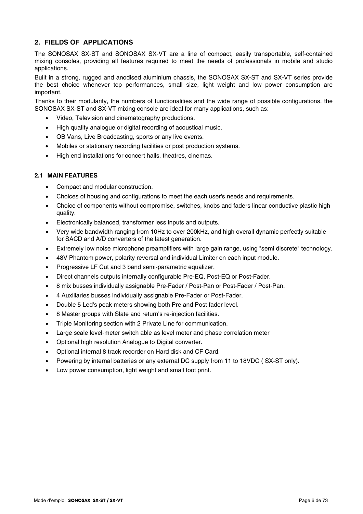## **2. FIELDS OF APPLICATIONS**

The SONOSAX SX-ST and SONOSAX SX-VT are a line of compact, easily transportable, self-contained mixing consoles, providing all features required to meet the needs of professionals in mobile and studio applications.

Built in a strong, rugged and anodised aluminium chassis, the SONOSAX SX-ST and SX-VT series provide the best choice whenever top performances, small size, light weight and low power consumption are important.

Thanks to their modularity, the numbers of functionalities and the wide range of possible configurations, the SONOSAX SX-ST and SX-VT mixing console are ideal for many applications, such as:

- Video, Television and cinematography productions.
- High quality analogue or digital recording of acoustical music.
- OB Vans, Live Broadcasting, sports or any live events.
- Mobiles or stationary recording facilities or post production systems.
- High end installations for concert halls, theatres, cinemas.

#### **2.1 MAIN FEATURES**

- Compact and modular construction.
- Choices of housing and configurations to meet the each user's needs and requirements.
- Choice of components without compromise, switches, knobs and faders linear conductive plastic high quality.
- Electronically balanced, transformer less inputs and outputs.
- Very wide bandwidth ranging from 10Hz to over 200kHz, and high overall dynamic perfectly suitable for SACD and A/D converters of the latest generation.
- Extremely low noise microphone preamplifiers with large gain range, using "semi discrete" technology.
- 48V Phantom power, polarity reversal and individual Limiter on each input module.
- Progressive LF Cut and 3 band semi-parametric equalizer.
- Direct channels outputs internally configurable Pre-EQ, Post-EQ or Post-Fader.
- 8 mix busses individually assignable Pre-Fader / Post-Pan or Post-Fader / Post-Pan.
- 4 Auxiliaries busses individually assignable Pre-Fader or Post-Fader.
- Double 5 Led's peak meters showing both Pre and Post fader level.
- 8 Master groups with Slate and return's re-injection facilities.
- Triple Monitoring section with 2 Private Line for communication.
- Large scale level-meter switch able as level meter and phase correlation meter
- Optional high resolution Analogue to Digital converter.
- Optional internal 8 track recorder on Hard disk and CF Card.
- Powering by internal batteries or any external DC supply from 11 to 18VDC ( SX-ST only).
- Low power consumption, light weight and small foot print.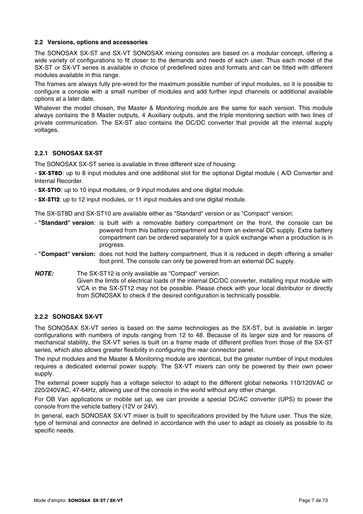## **2.2 Versions, options and accessories**

The SONOSAX SX-ST and SX-VT SONOSAX mixing consoles are based on a modular concept, offering a wide variety of configurations to fit closer to the demands and needs of each user. Thus each model of the SX-ST or SX-VT series is available in choice of predefined sizes and formats and can be fitted with different modules available in this range.

The frames are always fully pre-wired for the maximum possible number of input modules, so it is possible to configure a console with a small number of modules and add further input channels or additional available options at a later date.

Whatever the model chosen, the Master & Monitoring module are the same for each version. This module always contains the 8 Master outputs, 4 Auxiliary outputs, and the triple monitoring section with two lines of private communication. The SX-ST also contains the DC/DC converter that provide all the internal supply voltages.

## **2.2.1 SONOSAX SX-ST**

The SONOSAX SX-ST series is available in three different size of housing:

- SX-ST8D: up to 8 input modules and one additional slot for the optional Digital module ( A/D Converter and Internal Recorder.

- **SX-STIO**: up to 10 input modules, or 9 input modules and one digital module.
- SX-ST12: up to 12 input modules, or 11 input modules and one digital module.

The SX-ST8D and SX-ST10 are available either as "Standard" version or as "Compact" version:

- **"Standard" version**: is built with a removable battery compartment on the front, the console can be powered from this battery compartment and from an external DC supply. Extra battery compartment can be ordered separately for a quick exchange when a production is in progress.
- **"Compact" version:** does not hold the battery compartment, thus it is reduced in depth offering a smaller foot print. The console can only be powered from an external DC supply.
- *NOTE:* The SX-ST12 is only available as "Compact" version. Given the limits of electrical loads of the internal DC/DC converter, installing input module with VCA in the SX-ST12 may not be possible. Please check with your local distributor or directly from SONOSAX to check if the desired configuration is technically possible.

## **2.2.2 SONOSAX SX-VT**

The SONOSAX SX-VT series is based on the same technologies as the SX-ST, but is available in larger configurations with numbers of inputs ranging from 12 to 48. Because of its larger size and for reasons of mechanical stability, the SX-VT series is built on a frame made of different profiles from those of the SX-ST series, which also allows greater flexibility in configuring the rear connector panel.

The input modules and the Master & Monitoring module are identical, but the greater number of input modules requires a dedicated external power supply. The SX-VT mixers can only be powered by their own power supply.

The external power supply has a voltage selector to adapt to the different global networks 110/120VAC or 220/240VAC, 47-64Hz, allowing use of the console in the world without any other change.

For OB Van applications or mobile set up, we can provide a special DC/AC converter (UPS) to power the console from the vehicle battery (12V or 24V).

In general, each SONOSAX SX-VT mixer is built to specifications provided by the future user. Thus the size, type of terminal and connector are defined in accordance with the user to adapt as closely as possible to its specific needs.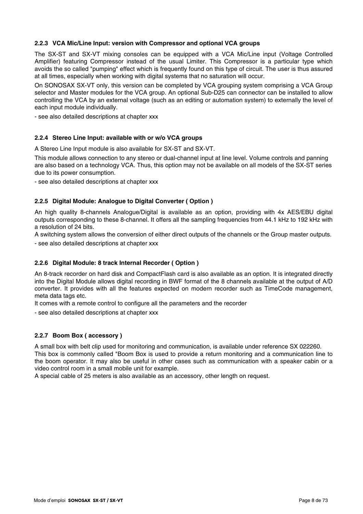## **2.2.3 VCA Mic/Line Input: version with Compressor and optional VCA groups**

The SX-ST and SX-VT mixing consoles can be equipped with a VCA Mic/Line input (Voltage Controlled Amplifier) featuring Compressor instead of the usual Limiter. This Compressor is a particular type which avoids the so called "pumping" effect which is frequently found on this type of circuit. The user is thus assured at all times, especially when working with digital systems that no saturation will occur.

On SONOSAX SX-VT only, this version can be completed by VCA grouping system comprising a VCA Group selector and Master modules for the VCA group. An optional Sub-D25 can connector can be installed to allow controlling the VCA by an external voltage (such as an editing or automation system) to externally the level of each input module individually.

- see also detailed descriptions at chapter xxx

#### **2.2.4 Stereo Line Input: available with or w/o VCA groups**

A Stereo Line Input module is also available for SX-ST and SX-VT.

This module allows connection to any stereo or dual-channel input at line level. Volume controls and panning are also based on a technology VCA. Thus, this option may not be available on all models of the SX-ST series due to its power consumption.

- see also detailed descriptions at chapter xxx

## **2.2.5 Digital Module: Analogue to Digital Converter ( Option )**

An high quality 8-channels Analogue/Digital is available as an option, providing with 4x AES/EBU digital outputs corresponding to these 8-channel. It offers all the sampling frequencies from 44.1 kHz to 192 kHz with a resolution of 24 bits.

A switching system allows the conversion of either direct outputs of the channels or the Group master outputs.

- see also detailed descriptions at chapter xxx

## **2.2.6 Digital Module: 8 track Internal Recorder ( Option )**

An 8-track recorder on hard disk and CompactFlash card is also available as an option. It is integrated directly into the Digital Module allows digital recording in BWF format of the 8 channels available at the output of A/D converter. It provides with all the features expected on modern recorder such as TimeCode management, meta data tags etc.

It comes with a remote control to configure all the parameters and the recorder

- see also detailed descriptions at chapter xxx

## **2.2.7 Boom Box ( accessory )**

A small box with belt clip used for monitoring and communication, is available under reference SX 022260. This box is commonly called "Boom Box is used to provide a return monitoring and a communication line to the boom operator. It may also be useful in other cases such as communication with a speaker cabin or a video control room in a small mobile unit for example.

A special cable of 25 meters is also available as an accessory, other length on request.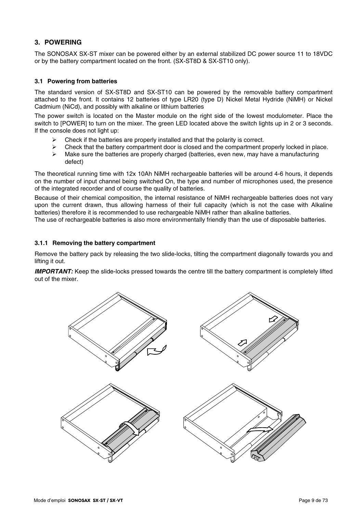## **3. POWERING**

The SONOSAX SX-ST mixer can be powered either by an external stabilized DC power source 11 to 18VDC or by the battery compartment located on the front. (SX-ST8D & SX-ST10 only).

## **3.1 Powering from batteries**

The standard version of SX-ST8D and SX-ST10 can be powered by the removable battery compartment attached to the front. It contains 12 batteries of type LR20 (type D) Nickel Metal Hydride (NiMH) or Nickel Cadmium (NiCd), and possibly with alkaline or lithium batteries

The power switch is located on the Master module on the right side of the lowest modulometer. Place the switch to [POWER] to turn on the mixer. The green LED located above the switch lights up in 2 or 3 seconds. If the console does not light up:

- $\triangleright$  Check if the batteries are properly installed and that the polarity is correct.
- $\triangleright$  Check that the battery compartment door is closed and the compartment properly locked in place.
- $\triangleright$  Make sure the batteries are properly charged (batteries, even new, may have a manufacturing defect)

The theoretical running time with 12x 10Ah NiMH rechargeable batteries will be around 4-6 hours, it depends on the number of input channel being switched On, the type and number of microphones used, the presence of the integrated recorder and of course the quality of batteries.

Because of their chemical composition, the internal resistance of NiMH rechargeable batteries does not vary upon the current drawn, thus allowing harness of their full capacity (which is not the case with Alkaline batteries) therefore it is recommended to use rechargeable NiMH rather than alkaline batteries.

The use of rechargeable batteries is also more environmentally friendly than the use of disposable batteries.

#### **3.1.1 Removing the battery compartment**

Remove the battery pack by releasing the two slide-locks, tilting the compartment diagonally towards you and lifting it out.

*IMPORTANT:* Keep the slide-locks pressed towards the centre till the battery compartment is completely lifted out of the mixer.

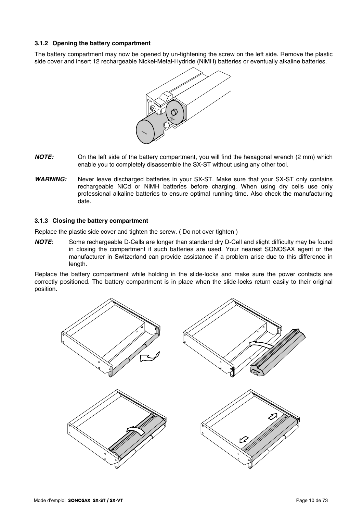#### **3.1.2 Opening the battery compartment**

The battery compartment may now be opened by un-tightening the screw on the left side. Remove the plastic side cover and insert 12 rechargeable Nickel-Metal-Hydride (NiMH) batteries or eventually alkaline batteries.



- *NOTE:* On the left side of the battery compartment, you will find the hexagonal wrench (2 mm) which enable you to completely disassemble the SX-ST without using any other tool.
- *WARNING:* Never leave discharged batteries in your SX-ST. Make sure that your SX-ST only contains rechargeable NiCd or NiMH batteries before charging. When using dry cells use only professional alkaline batteries to ensure optimal running time. Also check the manufacturing date.

#### **3.1.3 Closing the battery compartment**

Replace the plastic side cover and tighten the screw. ( Do not over tighten )

*NOTE*: Some rechargeable D-Cells are longer than standard dry D-Cell and slight difficulty may be found in closing the compartment if such batteries are used. Your nearest SONOSAX agent or the manufacturer in Switzerland can provide assistance if a problem arise due to this difference in length.

Replace the battery compartment while holding in the slide-locks and make sure the power contacts are correctly positioned. The battery compartment is in place when the slide-locks return easily to their original position.

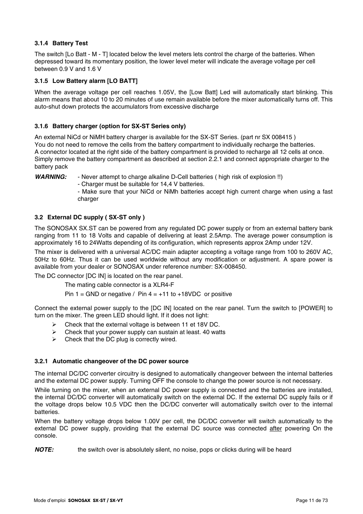## **3.1.4 Battery Test**

The switch [Lo Batt - M - T] located below the level meters lets control the charge of the batteries. When depressed toward its momentary position, the lower level meter will indicate the average voltage per cell between 0.9 V and 1.6 V

## **3.1.5 Low Battery alarm [LO BATT]**

When the average voltage per cell reaches 1.05V, the [Low Batt] Led will automatically start blinking. This alarm means that about 10 to 20 minutes of use remain available before the mixer automatically turns off. This auto-shut down protects the accumulators from excessive discharge

## **3.1.6 Battery charger (option for SX-ST Series only)**

An external NiCd or NiMH battery charger is available for the SX-ST Series. (part nr SX 008415 ) You do not need to remove the cells from the battery compartment to individually recharge the batteries. A connector located at the right side of the battery compartment is provided to recharge all 12 cells at once. Simply remove the battery compartment as described at section 2.2.1 and connect appropriate charger to the battery pack

*WARNING:* - Never attempt to charge alkaline D-Cell batteries ( high risk of explosion !!)

- Charger must be suitable for 14,4 V batteries.

- Make sure that your NiCd or NiMh batteries accept high current charge when using a fast charger

## **3.2 External DC supply ( SX-ST only )**

The SONOSAX SX.ST can be powered from any regulated DC power supply or from an external battery bank ranging from 11 to 18 Volts and capable of delivering at least 2.5Amp. The average power consumption is approximately 16 to 24Watts depending of its configuration, which represents approx 2Amp under 12V.

The mixer is delivered with a universal AC/DC main adapter accepting a voltage range from 100 to 260V AC, 50Hz to 60Hz. Thus it can be used worldwide without any modification or adjustment. A spare power is available from your dealer or SONOSAX under reference number: SX-008450.

The DC connector [DC IN] is located on the rear panel.

The mating cable connector is a XLR4-F

Pin  $1 =$  GND or negative / Pin  $4 = +11$  to  $+18$ VDC or positive

Connect the external power supply to the [DC IN] located on the rear panel. Turn the switch to [POWER] to turn on the mixer. The green LED should light. If it does not light:

- $\triangleright$  Check that the external voltage is between 11 et 18V DC.
- $\triangleright$  Check that your power supply can sustain at least. 40 watts
- $\triangleright$  Check that the DC plug is correctly wired.

## **3.2.1 Automatic changeover of the DC power source**

The internal DC/DC converter circuitry is designed to automatically changeover between the internal batteries and the external DC power supply. Turning OFF the console to change the power source is not necessary.

While turning on the mixer, when an external DC power supply is connected and the batteries are installed, the internal DC/DC converter will automatically switch on the external DC. If the external DC supply fails or if the voltage drops below 10.5 VDC then the DC/DC converter will automatically switch over to the internal batteries.

When the battery voltage drops below 1.00V per cell, the DC/DC converter will switch automatically to the external DC power supply, providing that the external DC source was connected after powering On the console.

**NOTE:** the switch over is absolutely silent, no noise, pops or clicks during will be heard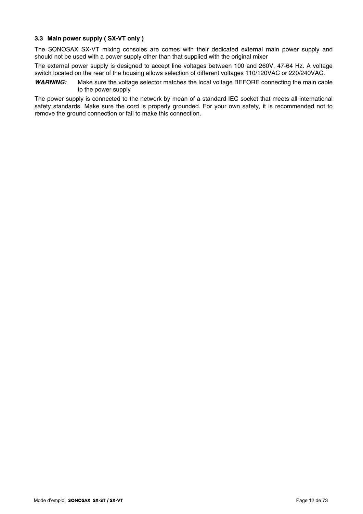## **3.3 Main power supply ( SX-VT only )**

The SONOSAX SX-VT mixing consoles are comes with their dedicated external main power supply and should not be used with a power supply other than that supplied with the original mixer

The external power supply is designed to accept line voltages between 100 and 260V, 47-64 Hz. A voltage switch located on the rear of the housing allows selection of different voltages 110/120VAC or 220/240VAC.

*WARNING:* Make sure the voltage selector matches the local voltage BEFORE connecting the main cable to the power supply

The power supply is connected to the network by mean of a standard IEC socket that meets all international safety standards. Make sure the cord is properly grounded. For your own safety, it is recommended not to remove the ground connection or fail to make this connection.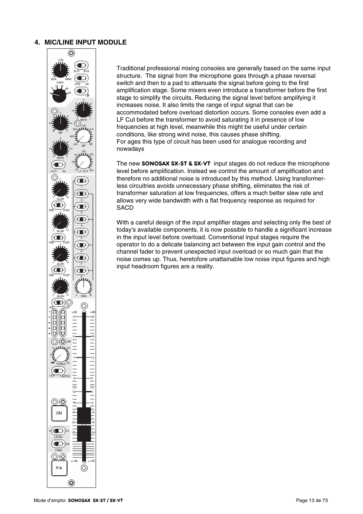## **4. MIC/LINE INPUT MODULE**



Traditional professional mixing consoles are generally based on the same input structure. The signal from the microphone goes through a phase reversal switch and then to a pad to attenuate the signal before going to the first amplification stage. Some mixers even introduce a transformer before the first stage to simplify the circuits. Reducing the signal level before amplifying it increases noise. It also limits the range of input signal that can be accommodated before overload distortion occurs. Some consoles even add a LF Cut before the transformer to avoid saturating it in presence of low frequencies at high level, meanwhile this might be useful under certain conditions, like strong wind noise, this causes phase shifting. For ages this type of circuit has been used for analogue recording and nowadays

The new **SONOSAX SX-ST & SX-VT** input stages do not reduce the microphone level before amplification. Instead we control the amount of amplification and therefore no additional noise is introduced by this method. Using transformerless circuitries avoids unnecessary phase shifting, eliminates the risk of transformer saturation at low frequencies, offers a much better slew rate and allows very wide bandwidth with a flat frequency response as required for SACD

With a careful design of the input amplifier stages and selecting only the best of today's available components, it is now possible to handle a significant increase in the input level before overload. Conventional input stages require the operator to do a delicate balancing act between the input gain control and the channel fader to prevent unexpected input overload or so much gain that the noise comes up. Thus, heretofore unattainable low noise input figures and high input headroom figures are a reality.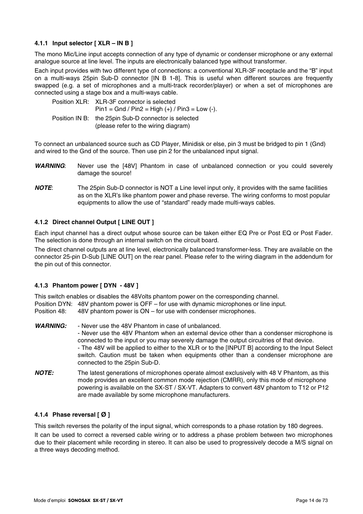## **4.1.1 Input selector [ XLR – IN B ]**

The mono Mic/Line input accepts connection of any type of dynamic or condenser microphone or any external analogue source at line level. The inputs are electronically balanced type without transformer.

Each input provides with two different type of connections: a conventional XLR-3F receptacle and the "B" input on a multi-ways 25pin Sub-D connector [IN B 1-8]. This is useful when different sources are frequently swapped (e.g. a set of microphones and a multi-track recorder/player) or when a set of microphones are connected using a stage box and a multi-ways cable.

| Position XLR: XLR-3F connector is selected<br>$Pin1 = Gnd / Pin2 = High (+) / Pin3 = Low (-).$ |
|------------------------------------------------------------------------------------------------|
| Position IN B: the 25pin Sub-D connector is selected<br>(please refer to the wiring diagram)   |

To connect an unbalanced source such as CD Player, Minidisk or else, pin 3 must be bridged to pin 1 (Gnd) and wired to the Gnd of the source. Then use pin 2 for the unbalanced input signal.

- *WARNING*: Never use the [48V] Phantom in case of unbalanced connection or you could severely damage the source!
- *NOTE*: The 25pin Sub-D connector is NOT a Line level input only, it provides with the same facilities as on the XLR's like phantom power and phase reverse. The wiring conforms to most popular equipments to allow the use of "standard" ready made multi-ways cables.

## **4.1.2 Direct channel Output [ LINE OUT ]**

Each input channel has a direct output whose source can be taken either EQ Pre or Post EQ or Post Fader. The selection is done through an internal switch on the circuit board.

The direct channel outputs are at line level, electronically balanced transformer-less. They are available on the connector 25-pin D-Sub [LINE OUT] on the rear panel. Please refer to the wiring diagram in the addendum for the pin out of this connector.

## **4.1.3 Phantom power [ DYN - 48V ]**

This switch enables or disables the 48Volts phantom power on the corresponding channel. Position DYN: 48V phantom power is OFF – for use with dynamic microphones or line input. Position 48: 48V phantom power is ON – for use with condenser microphones.

- *WARNING:* Never use the 48V Phantom in case of unbalanced. - Never use the 48V Phantom when an external device other than a condenser microphone is connected to the input or you may severely damage the output circuitries of that device. - The 48V will be applied to either to the XLR or to the [INPUT B] according to the Input Select switch. Caution must be taken when equipments other than a condenser microphone are connected to the 25pin Sub-D. *NOTE:* The latest generations of microphones operate almost exclusively with 48 V Phantom, as this
- mode provides an excellent common mode rejection (CMRR), only this mode of microphone powering is available on the SX-ST / SX-VT. Adapters to convert 48V phantom to T12 or P12 are made available by some microphone manufacturers.

## **4.1.4 Phase reversal [ Ø ]**

This switch reverses the polarity of the input signal, which corresponds to a phase rotation by 180 degrees.

It can be used to correct a reversed cable wiring or to address a phase problem between two microphones due to their placement while recording in stereo. It can also be used to progressively decode a M/S signal on a three ways decoding method.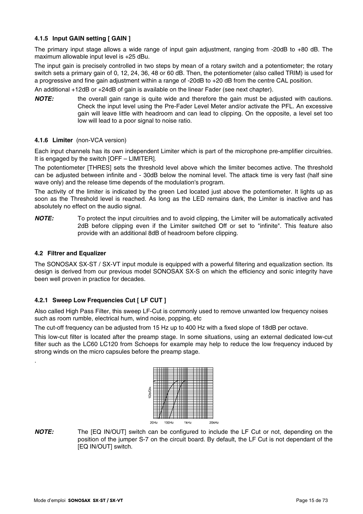## **4.1.5 Input GAIN setting [ GAIN ]**

The primary input stage allows a wide range of input gain adjustment, ranging from -20dB to +80 dB. The maximum allowable input level is +25 dBu.

The input gain is precisely controlled in two steps by mean of a rotary switch and a potentiometer; the rotary switch sets a primary gain of 0, 12, 24, 36, 48 or 60 dB. Then, the potentiometer (also called TRIM) is used for a progressive and fine gain adjustment within a range of -20dB to +20 dB from the centre CAL position.

An additional +12dB or +24dB of gain is available on the linear Fader (see next chapter).

**NOTE:** the overall gain range is quite wide and therefore the gain must be adjusted with cautions. Check the input level using the Pre-Fader Level Meter and/or activate the PFL. An excessive gain will leave little with headroom and can lead to clipping. On the opposite, a level set too low will lead to a poor signal to noise ratio.

#### **4.1.6 Limiter** (non-VCA version)

Each input channels has its own independent Limiter which is part of the microphone pre-amplifier circuitries. It is engaged by the switch [OFF – LIMITER].

The potentiometer [THRES] sets the threshold level above which the limiter becomes active. The threshold can be adjusted between infinite and - 30dB below the nominal level. The attack time is very fast (half sine wave only) and the release time depends of the modulation's program.

The activity of the limiter is indicated by the green Led located just above the potentiometer. It lights up as soon as the Threshold level is reached. As long as the LED remains dark, the Limiter is inactive and has absolutely no effect on the audio signal.

*NOTE:* To protect the input circuitries and to avoid clipping, the Limiter will be automatically activated 2dB before clipping even if the Limiter switched Off or set to "infinite". This feature also provide with an additional 8dB of headroom before clipping.

#### **4.2 Filtrer and Equalizer**

.

The SONOSAX SX-ST / SX-VT input module is equipped with a powerful filtering and equalization section. Its design is derived from our previous model SONOSAX SX-S on which the efficiency and sonic integrity have been well proven in practice for decades.

## **4.2.1 Sweep Low Frequencies Cut [ LF CUT ]**

Also called High Pass Filter, this sweep LF-Cut is commonly used to remove unwanted low frequency noises such as room rumble, electrical hum, wind noise, popping, etc

The cut-off frequency can be adjusted from 15 Hz up to 400 Hz with a fixed slope of 18dB per octave.

This low-cut filter is located after the preamp stage. In some situations, using an external dedicated low-cut filter such as the LC60 LC120 from Schoeps for example may help to reduce the low frequency induced by strong winds on the micro capsules before the preamp stage.



*NOTE:* The [EQ IN/OUT] switch can be configured to include the LF Cut or not, depending on the position of the jumper S-7 on the circuit board. By default, the LF Cut is not dependant of the **[EQ IN/OUT] switch.**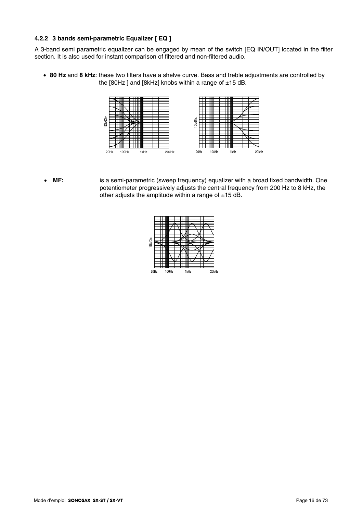## **4.2.2 3 bands semi-parametric Equalizer [ EQ ]**

A 3-band semi parametric equalizer can be engaged by mean of the switch [EQ IN/OUT] located in the filter section. It is also used for instant comparison of filtered and non-filtered audio.

• **80 Hz** and **8 kHz**: these two filters have a shelve curve. Bass and treble adjustments are controlled by the  $[80Hz]$  and  $[8kHz]$  knobs within a range of  $\pm 15$  dB.



• **MF:** is a semi-parametric (sweep frequency) equalizer with a broad fixed bandwidth. One potentiometer progressively adjusts the central frequency from 200 Hz to 8 kHz, the other adjusts the amplitude within a range of  $\pm 15$  dB.

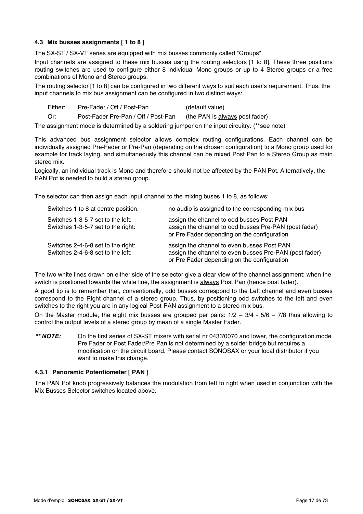## **4.3 Mix busses assignments [ 1 to 8 ]**

The SX-ST / SX-VT series are equipped with mix busses commonly called "Groups".

Input channels are assigned to these mix busses using the routing selectors [1 to 8]. These three positions routing switches are used to configure either 8 individual Mono groups or up to 4 Stereo groups or a free combinations of Mono and Stereo groups.

The routing selector [1 to 8] can be configured in two different ways to suit each user's requirement. Thus, the input channels to mix bus assignment can be configured in two distinct ways:

Either: Pre-Fader / Off / Post-Pan (default value)

Or: Post-Fader Pre-Pan / Off / Post-Pan (the PAN is always post fader)

The assignment mode is determined by a soldering jumper on the input circuitry. (\*\*see note)

This advanced bus assignment selector allows complex routing configurations. Each channel can be individually assigned Pre-Fader or Pre-Pan (depending on the chosen configuration) to a Mono group used for example for track laying, and simultaneously this channel can be mixed Post Pan to a Stereo Group as main stereo mix.

Logically, an individual track is Mono and therefore should not be affected by the PAN Pot. Alternatively, the PAN Pot is needed to build a stereo group.

The selector can then assign each input channel to the mixing buses 1 to 8, as follows:

| Switches 1 to 8 at centre position:                                     | no audio is assigned to the corresponding mix bus                                                                                                   |
|-------------------------------------------------------------------------|-----------------------------------------------------------------------------------------------------------------------------------------------------|
| Switches 1-3-5-7 set to the left:<br>Switches 1-3-5-7 set to the right: | assign the channel to odd busses Post PAN<br>assign the channel to odd busses Pre-PAN (post fader)<br>or Pre Fader depending on the configuration   |
| Switches 2-4-6-8 set to the right:<br>Switches 2-4-6-8 set to the left: | assign the channel to even busses Post PAN<br>assign the channel to even busses Pre-PAN (post fader)<br>or Pre Fader depending on the configuration |

The two white lines drawn on either side of the selector give a clear view of the channel assignment: when the switch is positioned towards the white line, the assignment is **always** Post Pan (hence post fader).

A good tip is to remember that, conventionally, odd busses correspond to the Left channel and even busses correspond to the Right channel of a stereo group. Thus, by positioning odd switches to the left and even switches to the right you are in any logical Post-PAN assignment to a stereo mix bus.

On the Master module, the eight mix busses are grouped per pairs:  $1/2 - 3/4 - 5/6 - 7/8$  thus allowing to control the output levels of a stereo group by mean of a single Master Fader.

*\*\* NOTE:* On the first series of SX-ST mixers with serial nr 0433'0070 and lower, the configuration mode Pre Fader or Post Fader/Pre Pan is not determined by a solder bridge but requires a modification on the circuit board. Please contact SONOSAX or your local distributor if you want to make this change.

## **4.3.1 Panoramic Potentiometer [ PAN ]**

The PAN Pot knob progressively balances the modulation from left to right when used in conjunction with the Mix Busses Selector switches located above.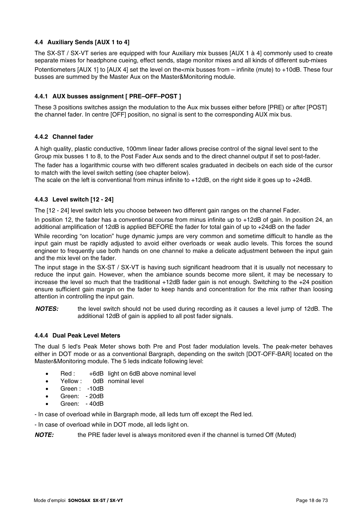## **4.4 Auxiliary Sends [AUX 1 to 4]**

The SX-ST / SX-VT series are equipped with four Auxiliary mix busses [AUX 1 à 4] commonly used to create separate mixes for headphone cueing, effect sends, stage monitor mixes and all kinds of different sub-mixes Potentiometers [AUX 1] to [AUX 4] set the level on the<mix busses from – infinite (mute) to +10dB. These four busses are summed by the Master Aux on the Master&Monitoring module.

## **4.4.1 AUX busses assignment [ PRE–OFF–POST ]**

These 3 positions switches assign the modulation to the Aux mix busses either before [PRE) or after [POST] the channel fader. In centre [OFF] position, no signal is sent to the corresponding AUX mix bus.

## **4.4.2 Channel fader**

A high quality, plastic conductive, 100mm linear fader allows precise control of the signal level sent to the Group mix busses 1 to 8, to the Post Fader Aux sends and to the direct channel output if set to post-fader.

The fader has a logarithmic course with two different scales graduated in decibels on each side of the cursor to match with the level switch setting (see chapter below).

The scale on the left is conventional from minus infinite to +12dB, on the right side it goes up to +24dB.

## **4.4.3 Level switch [12 - 24]**

The [12 - 24] level switch lets you choose between two different gain ranges on the channel Fader.

In position 12, the fader has a conventional course from minus infinite up to +12dB of gain. In position 24, an additional amplification of 12dB is applied BEFORE the fader for total gain of up to +24dB on the fader

While recording "on location" huge dynamic jumps are very common and sometime difficult to handle as the input gain must be rapidly adjusted to avoid either overloads or weak audio levels. This forces the sound engineer to frequently use both hands on one channel to make a delicate adjustment between the input gain and the mix level on the fader.

The input stage in the SX-ST / SX-VT is having such significant headroom that it is usually not necessary to reduce the input gain. However, when the ambiance sounds become more silent, it may be necessary to increase the level so much that the traditional +12dB fader gain is not enough. Switching to the +24 position ensure sufficient gain margin on the fader to keep hands and concentration for the mix rather than loosing attention in controlling the input gain.

*NOTES:* the level switch should not be used during recording as it causes a level jump of 12dB. The additional 12dB of gain is applied to all post fader signals.

## **4.4.4 Dual Peak Level Meters**

The dual 5 led's Peak Meter shows both Pre and Post fader modulation levels. The peak-meter behaves either in DOT mode or as a conventional Bargraph, depending on the switch [DOT-OFF-BAR] located on the Master&Monitoring module. The 5 leds indicate following level:

- Red : +6dB light on 6dB above nominal level
- Yellow : 0dB nominal level
- Green: -10dB
- Green: 20dB
- Green: 40dB

- In case of overload while in Bargraph mode, all leds turn off except the Red led.

- In case of overload while in DOT mode, all leds light on.

**NOTE:** the PRE fader level is always monitored even if the channel is turned Off (Muted)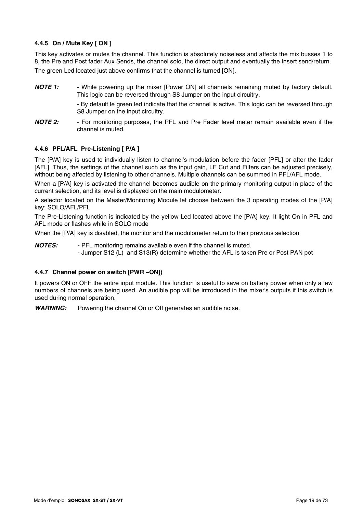## **4.4.5 On / Mute Key [ ON ]**

This key activates or mutes the channel. This function is absolutely noiseless and affects the mix busses 1 to 8, the Pre and Post fader Aux Sends, the channel solo, the direct output and eventually the Insert send/return. The green Led located just above confirms that the channel is turned [ON].

**NOTE 1:** - While powering up the mixer [Power ON] all channels remaining muted by factory default. This logic can be reversed through S8 Jumper on the input circuitry.

> - By default le green led indicate that the channel is active. This logic can be reversed through S8 Jumper on the input circuitry.

*NOTE 2:* - For monitoring purposes, the PFL and Pre Fader level meter remain available even if the channel is muted.

## **4.4.6 PFL/AFL Pre-Listening [ P/A ]**

The [P/A] key is used to individually listen to channel's modulation before the fader [PFL] or after the fader [AFL]. Thus, the settings of the channel such as the input gain, LF Cut and Filters can be adjusted precisely, without being affected by listening to other channels. Multiple channels can be summed in PFL/AFL mode.

When a [P/A] key is activated the channel becomes audible on the primary monitoring output in place of the current selection, and its level is displayed on the main modulometer.

A selector located on the Master/Monitoring Module let choose between the 3 operating modes of the [P/A] key: SOLO/AFL/PFL

The Pre-Listening function is indicated by the yellow Led located above the [P/A] key. It light On in PFL and AFL mode or flashes while in SOLO mode

When the [P/A] key is disabled, the monitor and the modulometer return to their previous selection

*NOTES:* - PFL monitoring remains available even if the channel is muted. - Jumper S12 (L) and S13(R) determine whether the AFL is taken Pre or Post PAN pot

#### **4.4.7 Channel power on switch [PWR –ON])**

It powers ON or OFF the entire input module. This function is useful to save on battery power when only a few numbers of channels are being used. An audible pop will be introduced in the mixer's outputs if this switch is used during normal operation.

*WARNING:* Powering the channel On or Off generates an audible noise.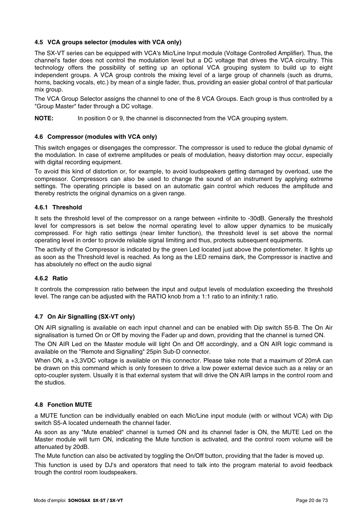## **4.5 VCA groups selector (modules with VCA only)**

The SX-VT series can be equipped with VCA's Mic/Line Input module (Voltage Controlled Amplifier). Thus, the channel's fader does not control the modulation level but a DC voltage that drives the VCA circuitry. This technology offers the possibility of setting up an optional VCA grouping system to build up to eight independent groups. A VCA group controls the mixing level of a large group of channels (such as drums, horns, backing vocals, etc.) by mean of a single fader, thus, providing an easier global control of that particular mix group.

The VCA Group Selector assigns the channel to one of the 8 VCA Groups. Each group is thus controlled by a "Group Master" fader through a DC voltage.

**NOTE:** In position 0 or 9, the channel is disconnected from the VCA grouping system.

#### **4.6 Compressor (modules with VCA only)**

This switch engages or disengages the compressor. The compressor is used to reduce the global dynamic of the modulation. In case of extreme amplitudes or peals of modulation, heavy distortion may occur, especially with digital recording equipment.

To avoid this kind of distortion or, for example, to avoid loudspeakers getting damaged by overload, use the compressor. Compressors can also be used to change the sound of an instrument by applying extreme settings. The operating principle is based on an automatic gain control which reduces the amplitude and thereby restricts the original dynamics on a given range.

## **4.6.1 Threshold**

It sets the threshold level of the compressor on a range between +infinite to -30dB. Generally the threshold level for compressors is set below the normal operating level to allow upper dynamics to be musically compressed. For high ratio settings (near limiter function), the threshold level is set above the normal operating level in order to provide reliable signal limiting and thus, protects subsequent equipments.

The activity of the Compressor is indicated by the green Led located just above the potentiometer. It lights up as soon as the Threshold level is reached. As long as the LED remains dark, the Compressor is inactive and has absolutely no effect on the audio signal

#### **4.6.2 Ratio**

It controls the compression ratio between the input and output levels of modulation exceeding the threshold level. The range can be adjusted with the RATIO knob from a 1:1 ratio to an infinity:1 ratio.

## **4.7 On Air Signalling (SX-VT only)**

ON AIR signalling is available on each input channel and can be enabled with Dip switch S5-B. The On Air signalisation is turned On or Off by moving the Fader up and down, providing that the channel is turned ON.

The ON AIR Led on the Master module will light On and Off accordingly, and a ON AIR logic command is available on the "Remote and Signalling" 25pin Sub-D connector.

When ON, a +3,3VDC voltage is available on this connector. Please take note that a maximum of 20mA can be drawn on this command which is only foreseen to drive a low power external device such as a relay or an opto-coupler system. Usually it is that external system that will drive the ON AIR lamps in the control room and the studios.

## **4.8 Fonction MUTE**

a MUTE function can be individually enabled on each Mic/Line input module (with or without VCA) with Dip switch S5-A located underneath the channel fader.

As soon as any "Mute enabled" channel is turned ON and its channel fader is ON, the MUTE Led on the Master module will turn ON, indicating the Mute function is activated, and the control room volume will be attenuated by 20dB.

The Mute function can also be activated by toggling the On/Off button, providing that the fader is moved up.

This function is used by DJ's and operators that need to talk into the program material to avoid feedback trough the control room loudspeakers.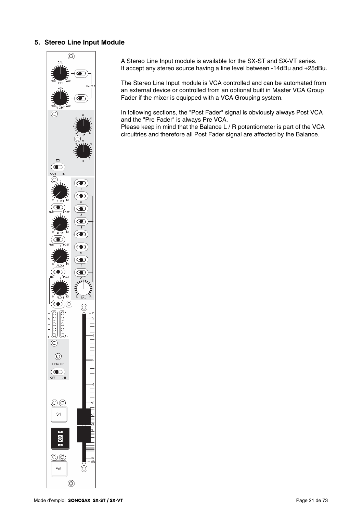## **5. Stereo Line Input Module**



A Stereo Line Input module is available for the SX-ST and SX-VT series. It accept any stereo source having a line level between -14dBu and +25dBu.

The Stereo Line Input module is VCA controlled and can be automated from an external device or controlled from an optional built in Master VCA Group Fader if the mixer is equipped with a VCA Grouping system.

In following sections, the "Post Fader" signal is obviously always Post VCA and the "Pre Fader" is always Pre VCA.

Please keep in mind that the Balance L / R potentiometer is part of the VCA circuitries and therefore all Post Fader signal are affected by the Balance.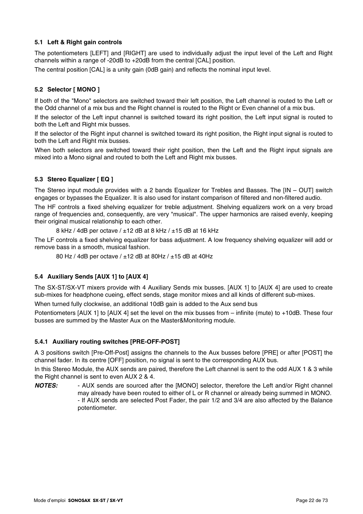## **5.1 Left & Right gain controls**

The potentiometers [LEFT] and [RIGHT] are used to individually adjust the input level of the Left and Right channels within a range of -20dB to +20dB from the central [CAL] position.

The central position [CAL] is a unity gain (0dB gain) and reflects the nominal input level.

## **5.2 Selector [ MONO ]**

If both of the "Mono" selectors are switched toward their left position, the Left channel is routed to the Left or the Odd channel of a mix bus and the Right channel is routed to the Right or Even channel of a mix bus.

If the selector of the Left input channel is switched toward its right position, the Left input signal is routed to both the Left and Right mix busses.

If the selector of the Right input channel is switched toward its right position, the Right input signal is routed to both the Left and Right mix busses.

When both selectors are switched toward their right position, then the Left and the Right input signals are mixed into a Mono signal and routed to both the Left and Right mix busses.

## **5.3 Stereo Equalizer [ EQ ]**

The Stereo input module provides with a 2 bands Equalizer for Trebles and Basses. The [IN – OUT] switch engages or bypasses the Equalizer. It is also used for instant comparison of filtered and non-filtered audio.

The HF controls a fixed shelving equalizer for treble adjustment. Shelving equalizers work on a very broad range of frequencies and, consequently, are very "musical". The upper harmonics are raised evenly, keeping their original musical relationship to each other.

8 kHz / 4dB per octave /  $\pm$ 12 dB at 8 kHz /  $\pm$ 15 dB at 16 kHz

The LF controls a fixed shelving equalizer for bass adjustment. A low frequency shelving equalizer will add or remove bass in a smooth, musical fashion.

80 Hz / 4dB per octave / ±12 dB at 80Hz / ±15 dB at 40Hz

## **5.4 Auxiliary Sends [AUX 1] to [AUX 4]**

The SX-ST/SX-VT mixers provide with 4 Auxiliary Sends mix busses. [AUX 1] to [AUX 4] are used to create sub-mixes for headphone cueing, effect sends, stage monitor mixes and all kinds of different sub-mixes.

When turned fully clockwise, an additional 10dB gain is added to the Aux send bus

Potentiometers [AUX 1] to [AUX 4] set the level on the mix busses from – infinite (mute) to +10dB. These four busses are summed by the Master Aux on the Master&Monitoring module.

## **5.4.1 Auxiliary routing switches [PRE-OFF-POST]**

A 3 positions switch [Pre-Off-Post] assigns the channels to the Aux busses before [PRE] or after [POST] the channel fader. In its centre [OFF] position, no signal is sent to the corresponding AUX bus.

In this Stereo Module, the AUX sends are paired, therefore the Left channel is sent to the odd AUX 1 & 3 while the Right channel is sent to even AUX 2 & 4.

*NOTES:* - AUX sends are sourced after the [MONO] selector, therefore the Left and/or Right channel may already have been routed to either of L or R channel or already being summed in MONO. - If AUX sends are selected Post Fader, the pair 1/2 and 3/4 are also affected by the Balance potentiometer.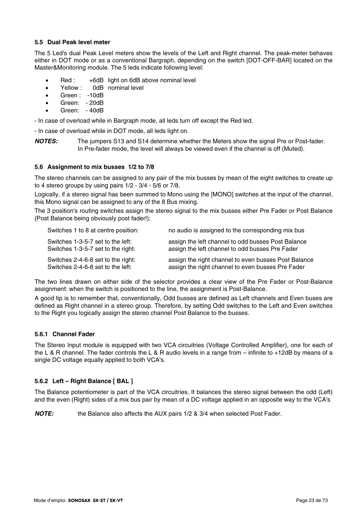#### **5.5 Dual Peak level meter**

The 5 Led's dual Peak Level meters show the levels of the Left and Right channel. The peak-meter behaves either in DOT mode or as a conventional Bargraph, depending on the switch [DOT-OFF-BAR] located on the Master&Monitoring module. The 5 leds indicate following level:

- Red : +6dB light on 6dB above nominal level
- Yellow : 0dB nominal level
- Green : -10dB
- Green: 20dB
- Green: 40dB

- In case of overload while in Bargraph mode, all leds turn off except the Red led.

- In case of overload while in DOT mode, all leds light on.

*NOTES:* The jumpers S13 and S14 determine whether the Meters show the signal Pre or Post-fader. In Pre-fader mode, the level will always be viewed even if the channel is off (Muted).

#### **5.6 Assignment to mix busses 1/2 to 7/8**

The stereo channels can be assigned to any pair of the mix busses by mean of the eight switches to create up to 4 stereo groups by using pairs 1/2 - 3/4 - 5/6 or 7/8.

Logically, if a stereo signal has been summed to Mono using the [MONO] switches at the input of the channel, this Mono signal can be assigned to any of the 8 Bus mixing.

The 3 position's routing switches assign the stereo signal to the mix busses either Pre Fader or Post Balance (Post Balance being obviously post fader!):

| Switches 1 to 8 at centre position: | no audio is assigned to the corresponding mix bus    |
|-------------------------------------|------------------------------------------------------|
| Switches 1-3-5-7 set to the left:   | assign the left channel to odd busses Post Balance   |
| Switches 1-3-5-7 set to the right:  | assign the left channel to odd busses Pre Fader      |
| Switches 2-4-6-8 set to the right:  | assign the right channel to even busses Post Balance |
| Switches 2-4-6-8 set to the left:   | assign the right channel to even busses Pre Fader    |

The two lines drawn on either side of the selector provides a clear view of the Pre Fader or Post-Balance assignment: when the switch is positioned to the line, the assignment is Post-Balance.

A good tip is to remember that, conventionally, Odd busses are defined as Left channels and Even buses are defined as Right channel in a stereo group. Therefore, by setting Odd switches to the Left and Even switches to the Right you logically assign the stereo channel Post Balance to the busses.

#### **5.6.1 Channel Fader**

The Stereo Input module is equipped with two VCA circuitries (Voltage Controlled Amplifier), one for each of the L & R channel. The fader controls the L & R audio levels in a range from – infinite to +12dB by means of a single DC voltage equally applied to both VCA's.

#### **5.6.2 Left – Right Balance [ BAL ]**

The Balance potentiometer is part of the VCA circuitries. It balances the stereo signal between the odd (Left) and the even (Right) sides of a mix bus pair by mean of a DC voltage applied in an opposite way to the VCA's

**NOTE:** the Balance also affects the AUX pairs 1/2 & 3/4 when selected Post Fader.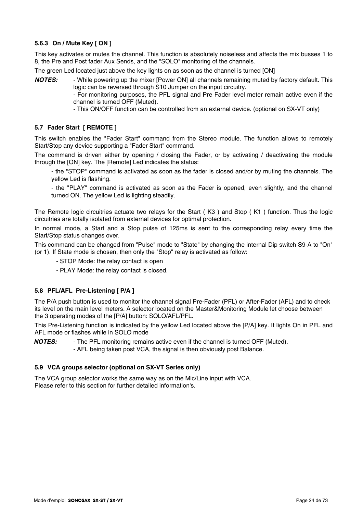## **5.6.3 On / Mute Key [ ON ]**

This key activates or mutes the channel. This function is absolutely noiseless and affects the mix busses 1 to 8, the Pre and Post fader Aux Sends, and the "SOLO" monitoring of the channels.

The green Led located just above the key lights on as soon as the channel is turned [ON]

*NOTES:* - While powering up the mixer [Power ON] all channels remaining muted by factory default. This logic can be reversed through S10 Jumper on the input circuitry.

- For monitoring purposes, the PFL signal and Pre Fader level meter remain active even if the channel is turned OFF (Muted).

- This ON/OFF function can be controlled from an external device. (optional on SX-VT only)

## **5.7 Fader Start [ REMOTE ]**

This switch enables the "Fader Start" command from the Stereo module. The function allows to remotely Start/Stop any device supporting a "Fader Start" command.

The command is driven either by opening / closing the Fader, or by activating / deactivating the module through the [ON] key. The [Remote] Led indicates the status:

- the "STOP" command is activated as soon as the fader is closed and/or by muting the channels. The yellow Led is flashing.

- the "PLAY" command is activated as soon as the Fader is opened, even slightly, and the channel turned ON. The yellow Led is lighting steadily.

The Remote logic circuitries actuate two relays for the Start ( K3 ) and Stop ( K1 ) function. Thus the logic circuitries are totally isolated from external devices for optimal protection.

In normal mode, a Start and a Stop pulse of 125ms is sent to the corresponding relay every time the Start/Stop status changes over.

This command can be changed from "Pulse" mode to "State" by changing the internal Dip switch S9-A to "On" (or 1). If State mode is chosen, then only the "Stop" relay is activated as follow:

- STOP Mode: the relay contact is open
- PLAY Mode: the relay contact is closed.

## **5.8 PFL/AFL Pre-Listening [ P/A ]**

The P/A push button is used to monitor the channel signal Pre-Fader (PFL) or After-Fader (AFL) and to check its level on the main level meters. A selector located on the Master&Monitoring Module let choose between the 3 operating modes of the [P/A] button: SOLO/AFL/PFL.

This Pre-Listening function is indicated by the yellow Led located above the [P/A] key. It lights On in PFL and AFL mode or flashes while in SOLO mode

*NOTES:* - The PFL monitoring remains active even if the channel is turned OFF (Muted). - AFL being taken post VCA, the signal is then obviously post Balance.

#### **5.9 VCA groups selector (optional on SX-VT Series only)**

The VCA group selector works the same way as on the Mic/Line input with VCA. Please refer to this section for further detailed information's.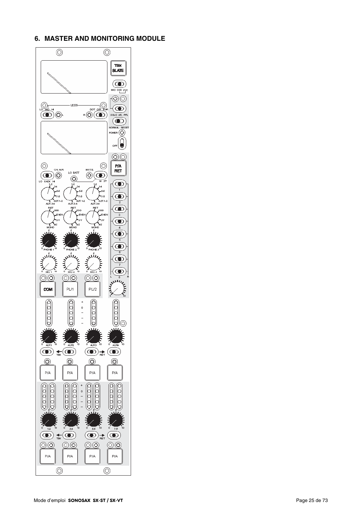## **6. MASTER AND MONITORING MODULE**

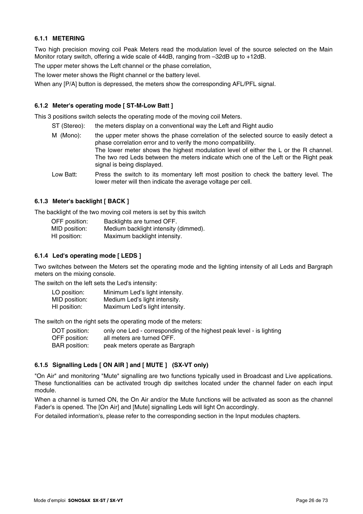## **6.1.1 METERING**

Two high precision moving coil Peak Meters read the modulation level of the source selected on the Main Monitor rotary switch, offering a wide scale of 44dB, ranging from –32dB up to +12dB.

The upper meter shows the Left channel or the phase correlation,

The lower meter shows the Right channel or the battery level.

When any [P/A] button is depressed, the meters show the corresponding AFL/PFL signal.

## **6.1.2 Meter's operating mode [ ST-M-Low Batt ]**

This 3 positions switch selects the operating mode of the moving coil Meters.

- ST (Stereo): the meters display on a conventional way the Left and Right audio
- M (Mono): the upper meter shows the phase correlation of the selected source to easily detect a phase correlation error and to verify the mono compatibility. The lower meter shows the highest modulation level of either the L or the R channel. The two red Leds between the meters indicate which one of the Left or the Right peak signal is being displayed.
- Low Batt: Press the switch to its momentary left most position to check the battery level. The lower meter will then indicate the average voltage per cell.

#### **6.1.3 Meter's backlight [ BACK ]**

The backlight of the two moving coil meters is set by this switch

| OFF position: | Backlights are turned OFF.           |
|---------------|--------------------------------------|
| MID position: | Medium backlight intensity (dimmed). |
| HI position:  | Maximum backlight intensity.         |

## **6.1.4 Led's operating mode [ LEDS ]**

Two switches between the Meters set the operating mode and the lighting intensity of all Leds and Bargraph meters on the mixing console.

The switch on the left sets the Led's intensity:

| LO position:  | Minimum Led's light intensity. |
|---------------|--------------------------------|
| MID position: | Medium Led's light intensity.  |
| HI position:  | Maximum Led's light intensity. |

The switch on the right sets the operating mode of the meters:

| DOT position: | only one Led - corresponding of the highest peak level - is lighting |
|---------------|----------------------------------------------------------------------|
| OFF position: | all meters are turned OFF.                                           |
| BAR position: | peak meters operate as Bargraph                                      |

## **6.1.5 Signalling Leds [ ON AIR ] and [ MUTE ] (SX-VT only)**

"On Air" and monitoring "Mute" signalling are two functions typically used in Broadcast and Live applications. These functionalities can be activated trough dip switches located under the channel fader on each input module.

When a channel is turned ON, the On Air and/or the Mute functions will be activated as soon as the channel Fader's is opened. The [On Air] and [Mute] signalling Leds will light On accordingly.

For detailed information's, please refer to the corresponding section in the Input modules chapters.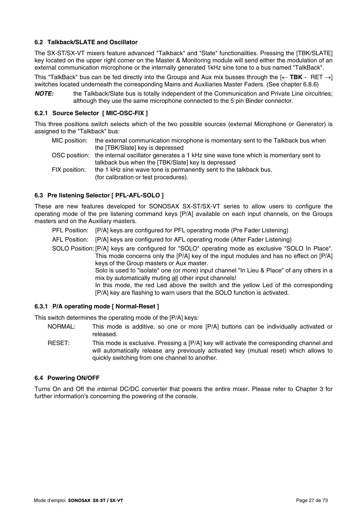## **6.2 Talkback/SLATE and Oscillator**

The SX-ST/SX-VT mixers feature advanced "Talkback" and "Slate" functionalities. Pressing the [TBK/SLATE] key located on the upper right corner on the Master & Monitoring module will send either the modulation of an external communication microphone or the internally generated 1kHz sine tone to a bus named "TalkBack".

This "TalkBack" bus can be fed directly into the Groups and Aux mix busses through the [← **TBK** - RET →] switches located underneath the corresponding Mains and Auxiliaries Master Faders. (See chapter 6.8.6)

*NOTE:* the Talkback/Slate bus is totally independent of the Communication and Private Line circuitries; although they use the same microphone connected to the 5 pin Binder connector.

## **6.2.1 Source Selector [ MIC-OSC-FIX ]**

This three positions switch selects which of the two possible sources (external Microphone or Generator) is assigned to the "Talkback" bus:

|               | MIC position: the external communication microphone is momentary sent to the Talkback bus when    |
|---------------|---------------------------------------------------------------------------------------------------|
|               | the [TBK/Slate] key is depressed                                                                  |
|               | OSC position: the internal oscillator generates a 1 kHz sine wave tone which is momentary sent to |
|               | talkback bus when the [TBK/Slate] key is depressed                                                |
| FIX position: | the 1 kHz sine wave tone is permanently sent to the talkback bus.                                 |
|               | (for calibration or test procedures).                                                             |

## **6.3 Pre listening Selector [ PFL-AFL-SOLO ]**

These are new features developed for SONOSAX SX-ST/SX-VT series to allow users to configure the operating mode of the pre listening command keys [P/A] available on each input channels, on the Groups masters and on the Auxiliary masters.

- PFL Position: [P/A] keys are configured for PFL operating mode (Pre Fader Listening)
- AFL Position: [P/A] keys are configured for AFL operating mode (After Fader Listening)
- SOLO Position: [P/A] keys are configured for "SOLO" operating mode as exclusive "SOLO In Place". This mode concerns only the [P/A] key of the input modules and has no effect on [P/A] keys of the Group masters or Aux master.

Solo is used to "isolate" one (or more) input channel "In Lieu & Place" of any others in a mix by automatically muting all other input channels!

In this mode, the red Led above the switch and the yellow Led of the corresponding [P/A] key are flashing to warn users that the SOLO function is activated.

#### **6.3.1 P/A operating mode [ Normal-Reset ]**

This switch determines the operating mode of the [P/A] keys:

- NORMAL: This mode is additive, so one or more [P/A] buttons can be individually activated or released.
- RESET: This mode is exclusive. Pressing a [P/A] key will activate the corresponding channel and will automatically release any previously activated key (mutual reset) which allows to quickly switching from one channel to another.

#### **6.4 Powering ON/OFF**

Turns On and Off the internal DC/DC converter that powers the entire mixer. Please refer to Chapter 3 for further information's concerning the powering of the console.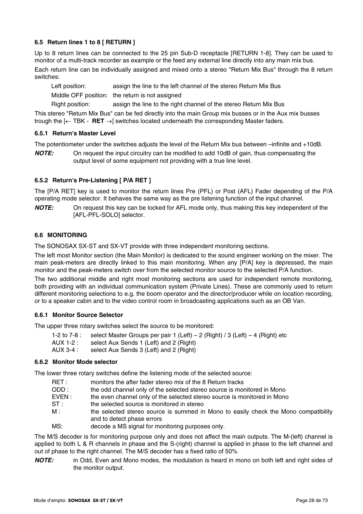## **6.5 Return lines 1 to 8 [ RETURN ]**

Up to 8 return lines can be connected to the 25 pin Sub-D receptacle [RETURN 1-8]. They can be used to monitor of a multi-track recorder as example or the feed any external line directly into any main mix bus.

Each return line can be individually assigned and mixed onto a stereo "Return Mix Bus" through the 8 return switches:

Left position: assign the line to the left channel of the stereo Return Mix Bus

Middle OFF position: the return is not assigned

Right position: assign the line to the right channel of the stereo Return Mix Bus

This stereo "Return Mix Bus" can be fed directly into the main Group mix busses or in the Aux mix busses trough the [← TBK - **RET** →] switches located underneath the corresponding Master faders.

#### **6.5.1 Return's Master Level**

The potentiometer under the switches adjusts the level of the Return Mix bus between –infinite and +10dB.

*NOTE:* On request the input circuitry can be modified to add 10dB of gain, thus compensating the output level of some equipment not providing with a true line level.

## **6.5.2 Return's Pre-Listening [ P/A RET ]**

The [P/A RET] key is used to monitor the return lines Pre (PFL) or Post (AFL) Fader depending of the P/A operating mode selector. It behaves the same way as the pre listening function of the input channel.

*NOTE:* On request this key can be locked for AFL mode only, thus making this key independent of the [AFL-PFL-SOLO] selector.

#### **6.6 MONITORING**

The SONOSAX SX-ST and SX-VT provide with three independent monitoring sections.

The left most Monitor section (the Main Monitor) is dedicated to the sound engineer working on the mixer. The main peak-meters are directly linked to this main monitoring. When any [P/A] key is depressed, the main monitor and the peak-meters switch over from the selected monitor source to the selected P/A function.

The two additional middle and right most monitoring sections are used for independent remote monitoring, both providing with an individual communication system (Private Lines). These are commonly used to return different monitoring selections to e.g. the boom operator and the director/producer while on location recording, or to a speaker cabin and to the video control room in broadcasting applications such as an OB Van.

#### **6.6.1 Monitor Source Selector**

The upper three rotary switches select the source to be monitored:

- 1-2 to 7-8 : select Master Groups per pair 1 (Left) 2 (Right) / 3 (Left) 4 (Right) etc
- AUX 1-2 : select Aux Sends 1 (Left) and 2 (Right)
- AUX 3-4 : select Aux Sends 3 (Left) and 2 (Right)

#### **6.6.2 Monitor Mode selector**

The lower three rotary switches define the listening mode of the selected source:

- RET : monitors the after fader stereo mix of the 8 Return tracks
- ODD : the odd channel only of the selected stereo source is monitored in Mono
- EVEN : the even channel only of the selected stereo source is monitored in Mono
- ST : the selected source is monitored in stereo
- M : the selected stereo source is summed in Mono to easily check the Mono compatibility and to detect phase errors
- MS: decode a MS signal for monitoring purposes only.

The M/S decoder is for monitoring purpose only and does not affect the main outputs. The M-(left) channel is applied to both L & R channels in phase and the S-(right) channel is applied in phase to the left channel and out of phase to the right channel. The M/S decoder has a fixed ratio of 50%

*NOTE:* in Odd, Even and Mono modes, the modulation is heard in mono on both left and right sides of the monitor output.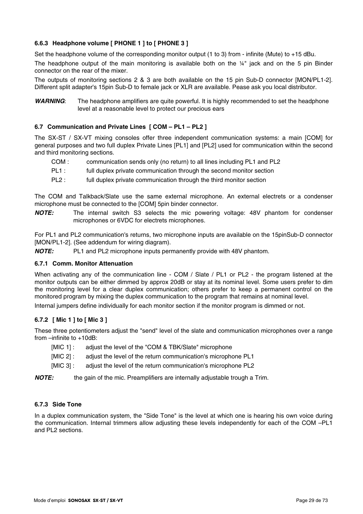## **6.6.3 Headphone volume [ PHONE 1 ] to [ PHONE 3 ]**

Set the headphone volume of the corresponding monitor output (1 to 3) from - infinite (Mute) to +15 dBu.

The headphone output of the main monitoring is available both on the  $\frac{1}{4}$ " jack and on the 5 pin Binder connector on the rear of the mixer.

The outputs of monitoring sections 2 & 3 are both available on the 15 pin Sub-D connector [MON/PL1-2]. Different split adapter's 15pin Sub-D to female jack or XLR are available. Pease ask you local distributor.

*WARNING*: The headphone amplifiers are quite powerful. It is highly recommended to set the headphone level at a reasonable level to protect our precious ears

## **6.7 Communication and Private Lines [ COM – PL1 – PL2 ]**

The SX-ST / SX-VT mixing consoles offer three independent communication systems: a main [COM] for general purposes and two full duplex Private Lines [PL1] and [PL2] used for communication within the second and third monitoring sections.

- COM : communication sends only (no return) to all lines including PL1 and PL2
- PL1 : full duplex private communication through the second monitor section
- PL2 : full duplex private communication through the third monitor section

The COM and Talkback/Slate use the same external microphone. An external electrets or a condenser microphone must be connected to the [COM] 5pin binder connector.

*NOTE:* The internal switch S3 selects the mic powering voltage: 48V phantom for condenser microphones or 6VDC for electrets microphones.

For PL1 and PL2 communication's returns, two microphone inputs are available on the 15pinSub-D connector [MON/PL1-2]. (See addendum for wiring diagram).

*NOTE:* PL1 and PL2 microphone inputs permanently provide with 48V phantom.

## **6.7.1 Comm. Monitor Attenuation**

When activating any of the communication line - COM / Slate / PL1 or PL2 - the program listened at the monitor outputs can be either dimmed by approx 20dB or stay at its nominal level. Some users prefer to dim the monitoring level for a clear duplex communication; others prefer to keep a permanent control on the monitored program by mixing the duplex communication to the program that remains at nominal level.

Internal jumpers define individually for each monitor section if the monitor program is dimmed or not.

## **6.7.2 [ Mic 1 ] to [ Mic 3 ]**

These three potentiometers adjust the "send" level of the slate and communication microphones over a range from –infinite to +10dB:

- [MIC 1] : adjust the level of the "COM & TBK/Slate" microphone
- [MIC 2] : adjust the level of the return communication's microphone PL1
- [MIC 3] : adjust the level of the return communication's microphone PL2

*NOTE:* the gain of the mic. Preamplifiers are internally adjustable trough a Trim.

## **6.7.3 Side Tone**

In a duplex communication system, the "Side Tone" is the level at which one is hearing his own voice during the communication. Internal trimmers allow adjusting these levels independently for each of the COM –PL1 and PL2 sections.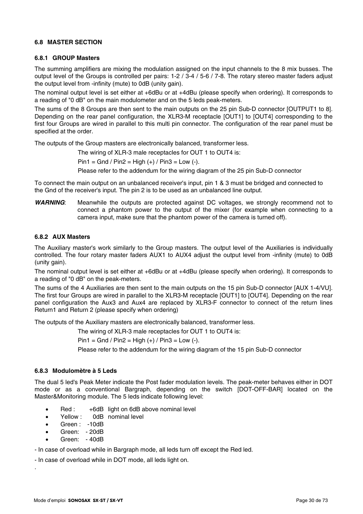#### **6.8 MASTER SECTION**

## **6.8.1 GROUP Masters**

The summing amplifiers are mixing the modulation assigned on the input channels to the 8 mix busses. The output level of the Groups is controlled per pairs: 1-2 / 3-4 / 5-6 / 7-8. The rotary stereo master faders adjust the output level from -infinity (mute) to 0dB (unity gain).

The nominal output level is set either at +6dBu or at +4dBu (please specify when ordering). It corresponds to a reading of "0 dB" on the main modulometer and on the 5 leds peak-meters.

The sums of the 8 Groups are then sent to the main outputs on the 25 pin Sub-D connector [OUTPUT1 to 8]. Depending on the rear panel configuration, the XLR3-M receptacle [OUT1] to [OUT4] corresponding to the first four Groups are wired in parallel to this multi pin connector. The configuration of the rear panel must be specified at the order.

The outputs of the Group masters are electronically balanced, transformer less.

The wiring of XLR-3 male receptacles for OUT 1 to OUT4 is:

 $Pin1 = Gnd / Pin2 = High (+) / Pin3 = Low (-).$ 

Please refer to the addendum for the wiring diagram of the 25 pin Sub-D connector

To connect the main output on an unbalanced receiver's input, pin 1 & 3 must be bridged and connected to the Gnd of the receiver's input. The pin 2 is to be used as an unbalanced line output.

*WARNING*: Meanwhile the outputs are protected against DC voltages, we strongly recommend not to connect a phantom power to the output of the mixer (for example when connecting to a camera input, make sure that the phantom power of the camera is turned off).

#### **6.8.2 AUX Masters**

The Auxiliary master's work similarly to the Group masters. The output level of the Auxiliaries is individually controlled. The four rotary master faders AUX1 to AUX4 adjust the output level from -infinity (mute) to 0dB (unity gain).

The nominal output level is set either at +6dBu or at +4dBu (please specify when ordering). It corresponds to a reading of "0 dB" on the peak-meters.

The sums of the 4 Auxiliaries are then sent to the main outputs on the 15 pin Sub-D connector [AUX 1-4/VU]. The first four Groups are wired in parallel to the XLR3-M receptacle [OUT1] to [OUT4]. Depending on the rear panel configuration the Aux3 and Aux4 are replaced by XLR3-F connector to connect of the return lines Return1 and Return 2 (please specify when ordering)

The outputs of the Auxiliary masters are electronically balanced, transformer less.

The wiring of XLR-3 male receptacles for OUT 1 to OUT4 is:

 $Pin1 = Gnd / Pin2 = High (+) / Pin3 = Low (-).$ 

Please refer to the addendum for the wiring diagram of the 15 pin Sub-D connector

#### **6.8.3 Modulomètre à 5 Leds**

The dual 5 led's Peak Meter indicate the Post fader modulation levels. The peak-meter behaves either in DOT mode or as a conventional Bargraph, depending on the switch [DOT-OFF-BAR] located on the Master&Monitoring module. The 5 leds indicate following level:

- Red : +6dB light on 6dB above nominal level
- Yellow : 0dB nominal level
- Green : -10dB
- Green: 20dB
- Green: 40dB

.

- In case of overload while in Bargraph mode, all leds turn off except the Red led.

- In case of overload while in DOT mode, all leds light on.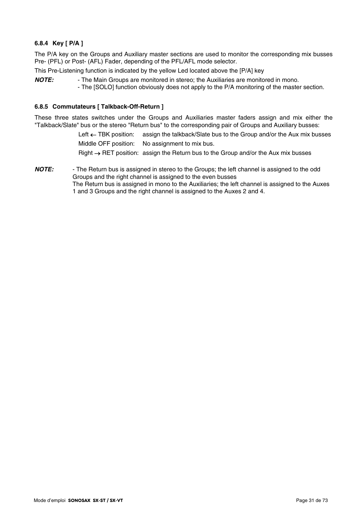## **6.8.4 Key [ P/A ]**

The P/A key on the Groups and Auxiliary master sections are used to monitor the corresponding mix busses Pre- (PFL) or Post- (AFL) Fader, depending of the PFL/AFL mode selector.

This Pre-Listening function is indicated by the yellow Led located above the [P/A] key

*NOTE:* - The Main Groups are monitored in stereo; the Auxiliaries are monitored in mono. - The [SOLO] function obviously does not apply to the P/A monitoring of the master section.

## **6.8.5 Commutateurs [ Talkback-Off-Return ]**

These three states switches under the Groups and Auxiliaries master faders assign and mix either the "Talkback/Slate" bus or the stereo "Return bus" to the corresponding pair of Groups and Auxiliary busses:

> Left ← TBK position: assign the talkback/Slate bus to the Group and/or the Aux mix busses Middle OFF position: No assignment to mix bus.

Right → RET position: assign the Return bus to the Group and/or the Aux mix busses

*NOTE:* - The Return bus is assigned in stereo to the Groups; the left channel is assigned to the odd Groups and the right channel is assigned to the even busses The Return bus is assigned in mono to the Auxiliaries; the left channel is assigned to the Auxes 1 and 3 Groups and the right channel is assigned to the Auxes 2 and 4.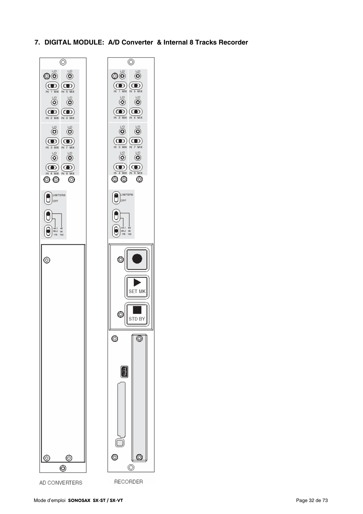**7. DIGITAL MODULE: A/D Converter & Internal 8 Tracks Recorder** 

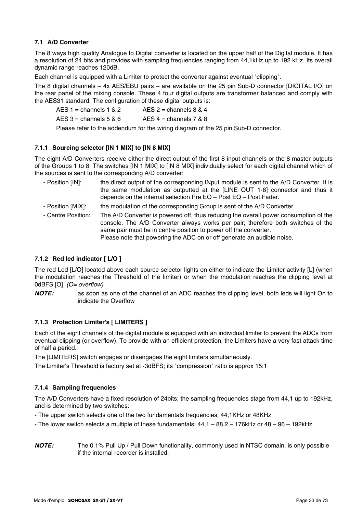## **7.1 A/D Converter**

The 8 ways high quality Analogue to Digital converter is located on the upper half of the Digital module. It has a resolution of 24 bits and provides with sampling frequencies ranging from 44,1kHz up to 192 kHz. Its overall dynamic range reaches 120dB.

Each channel is equipped with a Limiter to protect the converter against eventual "clipping".

The 8 digital channels – 4x AES/EBU pairs – are available on the 25 pin Sub-D connector [DIGITAL I/O] on the rear panel of the mixing console. These 4 four digital outputs are transformer balanced and comply with the AES31 standard. The configuration of these digital outputs is:

| AES $1 =$ channels $1 & 2$ | AES 2 = channels 3 & 4         |
|----------------------------|--------------------------------|
| AES $3 =$ channels $5 & 6$ | AES $4 =$ channels $7 & 8 & 8$ |

Please refer to the addendum for the wiring diagram of the 25 pin Sub-D connector.

## **7.1.1 Sourcing selector [IN 1 MIX] to [IN 8 MIX]**

The eight A/D Converters receive either the direct output of the first 8 input channels or the 8 master outputs of the Groups 1 to 8. The switches [IN 1 MIX] to [IN 8 MIX] individually select for each digital channel which of the sources is sent to the corresponding A/D converter:

- Position [IN]: the direct output of the corresponding INput module is sent to the A/D Converter. It is the same modulation as outputted at the [LINE OUT 1-8] connector and thus it depends on the internal selection Pre EQ – Post EQ – Post Fader. - Position [MIX]: the modulation of the corresponding Group is sent of the A/D Converter.
- Centre Position: The A/D Converter is powered off, thus reducing the overall power consumption of the console. The A/D Converter always works per pair; therefore both switches of the same pair must be in centre position to power off the converter. Please note that powering the ADC on or off generate an audible noise.

## **7.1.2 Red led indicator [ L/O ]**

The red Led [L/O] located above each source selector lights on either to indicate the Limiter activity [L] (when the modulation reaches the Threshold of the limiter) or when the modulation reaches the clipping level at 0dBFS [O] *(O= overflow)*.

*NOTE:* as soon as one of the channel of an ADC reaches the clipping level, both leds will light On to indicate the Overflow

## **7.1.3 Protection Limiter's [ LIMITERS ]**

Each of the eight channels of the digital module is equipped with an individual limiter to prevent the ADCs from eventual clipping (or overflow). To provide with an efficient protection, the Limiters have a very fast attack time of half a period.

The [LIMITERS] switch engages or disengages the eight limiters simultaneously.

The Limiter's Threshold is factory set at -3dBFS; its "compression" ratio is approx 15:1

## **7.1.4 Sampling frequencies**

The A/D Converters have a fixed resolution of 24bits; the sampling frequencies stage from 44,1 up to 192kHz, and is determined by two switches:

- The upper switch selects one of the two fundamentals frequencies; 44,1KHz or 48KHz

- The lower switch selects a multiple of these fundamentals: 44,1 88,2 176kHz or 48 96 192kHz
- *NOTE:* The 0.1% Pull Up / Pull Down functionality, commonly used in NTSC domain, is only possible if the internal recorder is installed.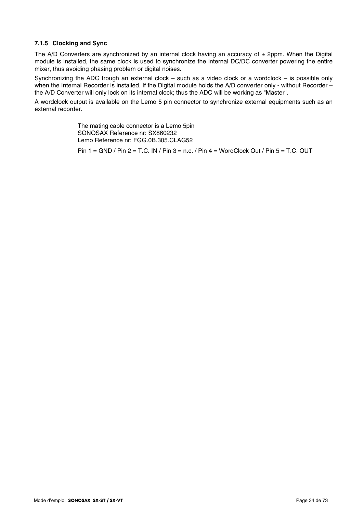## **7.1.5 Clocking and Sync**

The A/D Converters are synchronized by an internal clock having an accuracy of  $\pm$  2ppm. When the Digital module is installed, the same clock is used to synchronize the internal DC/DC converter powering the entire mixer, thus avoiding phasing problem or digital noises.

Synchronizing the ADC trough an external clock – such as a video clock or a wordclock – is possible only when the Internal Recorder is installed. If the Digital module holds the A/D converter only - without Recorder – the A/D Converter will only lock on its internal clock; thus the ADC will be working as "Master".

A wordclock output is available on the Lemo 5 pin connector to synchronize external equipments such as an external recorder.

> The mating cable connector is a Lemo 5pin SONOSAX Reference nr: SX860232 Lemo Reference nr: FGG.0B.305.CLAG52

Pin 1 = GND / Pin 2 = T.C. IN / Pin 3 = n.c. / Pin 4 = WordClock Out / Pin 5 = T.C. OUT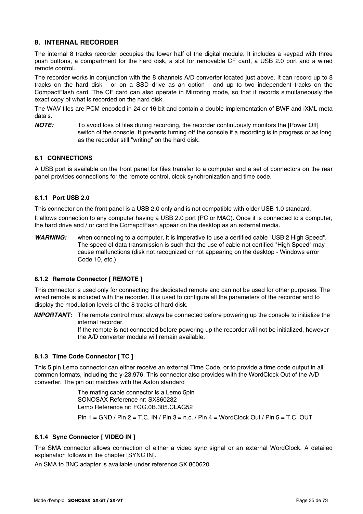## **8. INTERNAL RECORDER**

The internal 8 tracks recorder occupies the lower half of the digital module. It includes a keypad with three push buttons, a compartment for the hard disk, a slot for removable CF card, a USB 2.0 port and a wired remote control.

The recorder works in conjunction with the 8 channels A/D converter located just above. It can record up to 8 tracks on the hard disk - or on a SSD drive as an option - and up to two independent tracks on the CompactFlash card. The CF card can also operate in Mirroring mode, so that it records simultaneously the exact copy of what is recorded on the hard disk.

The WAV files are PCM encoded in 24 or 16 bit and contain a double implementation of BWF and iXML meta data's.

*NOTE:* To avoid loss of files during recording, the recorder continuously monitors the [Power Off] switch of the console. It prevents turning off the console if a recording is in progress or as long as the recorder still "writing" on the hard disk.

## **8.1 CONNECTIONS**

A USB port is available on the front panel for files transfer to a computer and a set of connectors on the rear panel provides connections for the remote control, clock synchronization and time code.

## **8.1.1 Port USB 2.0**

This connector on the front panel is a USB 2.0 only and is not compatible with older USB 1.0 standard.

It allows connection to any computer having a USB 2.0 port (PC or MAC). Once it is connected to a computer, the hard drive and / or card the ComapctFash appear on the desktop as an external media.

*WARNING:* when connecting to a computer, it is imperative to use a certified cable "USB 2 High Speed". The speed of data transmission is such that the use of cable not certified "High Speed" may cause malfunctions (disk not recognized or not appearing on the desktop - Windows error Code 10, etc.)

## **8.1.2 Remote Connector [ REMOTE ]**

This connector is used only for connecting the dedicated remote and can not be used for other purposes. The wired remote is included with the recorder. It is used to configure all the parameters of the recorder and to display the modulation levels of the 8 tracks of hard disk.

*IMPORTANT:* The remote control must always be connected before powering up the console to initialize the internal recorder.

> If the remote is not connected before powering up the recorder will not be initialized, however the A/D converter module will remain available.

## **8.1.3 Time Code Connector [ TC ]**

This 5 pin Lemo connector can either receive an external Time Code, or to provide a time code output in all common formats, including the y-23.976. This connector also provides with the WordClock Out of the A/D converter. The pin out matches with the Aaton standard

> The mating cable connector is a Lemo 5pin SONOSAX Reference nr: SX860232 Lemo Reference nr: FGG.0B.305.CLAG52

Pin 1 = GND / Pin 2 = T.C. IN / Pin 3 = n.c. / Pin 4 = WordClock Out / Pin 5 = T.C. OUT

## **8.1.4 Sync Connector [ VIDEO IN ]**

The SMA connector allows connection of either a video sync signal or an external WordClock. A detailed explanation follows in the chapter [SYNC IN].

An SMA to BNC adapter is available under reference SX 860620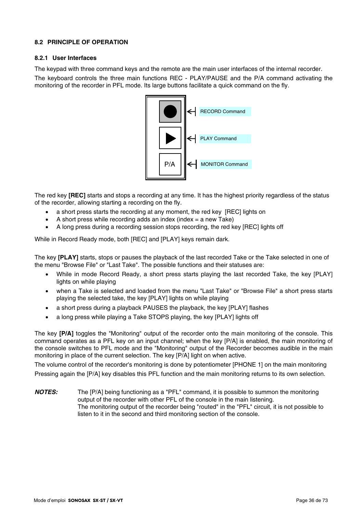## **8.2 PRINCIPLE OF OPERATION**

## **8.2.1 User Interfaces**

The keypad with three command keys and the remote are the main user interfaces of the internal recorder.

The keyboard controls the three main functions REC - PLAY/PAUSE and the P/A command activating the monitoring of the recorder in PFL mode. Its large buttons facilitate a quick command on the fly.



The red key **[REC]** starts and stops a recording at any time. It has the highest priority regardless of the status of the recorder, allowing starting a recording on the fly.

- a short press starts the recording at any moment, the red key [REC] lights on
- A short press while recording adds an index (index  $=$  a new Take)
- A long press during a recording session stops recording, the red key [REC] lights off

While in Record Ready mode, both [REC] and [PLAY] keys remain dark.

The key **[PLAY]** starts, stops or pauses the playback of the last recorded Take or the Take selected in one of the menu "Browse File" or "Last Take". The possible functions and their statuses are:

- While in mode Record Ready, a short press starts playing the last recorded Take, the key [PLAY] lights on while playing
- when a Take is selected and loaded from the menu "Last Take" or "Browse File" a short press starts playing the selected take, the key [PLAY] lights on while playing
- a short press during a playback PAUSES the playback, the key [PLAY] flashes
- a long press while playing a Take STOPS playing, the key [PLAY] lights off

The key **[P/A]** toggles the "Monitoring" output of the recorder onto the main monitoring of the console. This command operates as a PFL key on an input channel; when the key [P/A] is enabled, the main monitoring of the console switches to PFL mode and the "Monitoring" output of the Recorder becomes audible in the main monitoring in place of the current selection. The key [P/A] light on when active.

The volume control of the recorder's monitoring is done by potentiometer [PHONE 1] on the main monitoring Pressing again the [P/A] key disables this PFL function and the main monitoring returns to its own selection.

*NOTES:* The [P/A] being functioning as a "PFL" command, it is possible to summon the monitoring output of the recorder with other PFL of the console in the main listening. The monitoring output of the recorder being "routed" in the "PFL" circuit, it is not possible to listen to it in the second and third monitoring section of the console.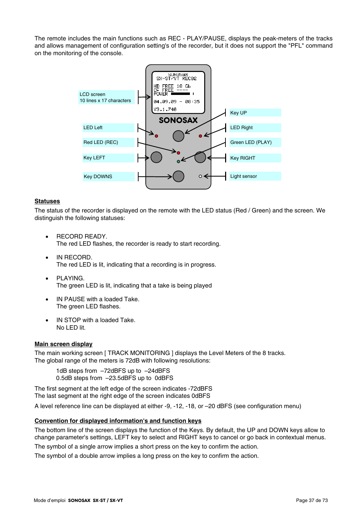The remote includes the main functions such as REC - PLAY/PAUSE, displays the peak-meters of the tracks and allows management of configuration setting's of the recorder, but it does not support the "PFL" command on the monitoring of the console.



#### **Statuses**

The status of the recorder is displayed on the remote with the LED status (Red / Green) and the screen. We distinguish the following statuses:

- RECORD READY. The red LED flashes, the recorder is ready to start recording.
- IN RECORD. The red LED is lit, indicating that a recording is in progress.
- PLAYING. The green LED is lit, indicating that a take is being played
- IN PAUSE with a loaded Take. The green LED flashes.
- IN STOP with a loaded Take. No LED lit.

#### **Main screen display**

The main working screen [ TRACK MONITORING ] displays the Level Meters of the 8 tracks. The global range of the meters is 72dB with following resolutions:

1dB steps from -72dBFS up to -24dBFS 0.5dB steps from –23.5dBFS up to 0dBFS

The first segment at the left edge of the screen indicates -72dBFS The last segment at the right edge of the screen indicates 0dBFS

A level reference line can be displayed at either -9, -12, -18, or –20 dBFS (see configuration menu)

### **Convention for displayed information's and function keys**

The bottom line of the screen displays the function of the Keys. By default, the UP and DOWN keys allow to change parameter's settings, LEFT key to select and RIGHT keys to cancel or go back in contextual menus.

The symbol of a single arrow implies a short press on the key to confirm the action.

The symbol of a double arrow implies a long press on the key to confirm the action.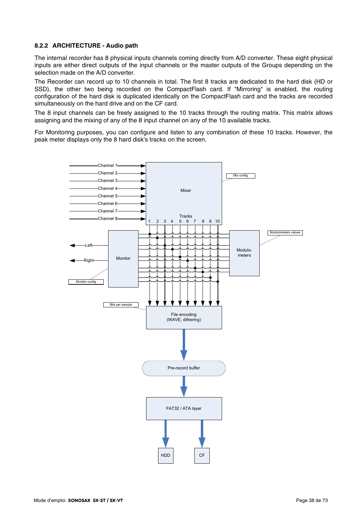### **8.2.2 ARCHITECTURE - Audio path**

The internal recorder has 8 physical inputs channels coming directly from A/D converter. These eight physical inputs are either direct outputs of the input channels or the master outputs of the Groups depending on the selection made on the A/D converter.

The Recorder can record up to 10 channels in total. The first 8 tracks are dedicated to the hard disk (HD or SSD), the other two being recorded on the CompactFlash card. If "Mirroring" is enabled, the routing configuration of the hard disk is duplicated identically on the CompactFlash card and the tracks are recorded simultaneously on the hard drive and on the CF card.

The 8 input channels can be freely assigned to the 10 tracks through the routing matrix. This matrix allows assigning and the mixing of any of the 8 input channel on any of the 10 available tracks.

For Monitoring purposes, you can configure and listen to any combination of these 10 tracks. However, the peak meter displays only the 8 hard disk's tracks on the screen.

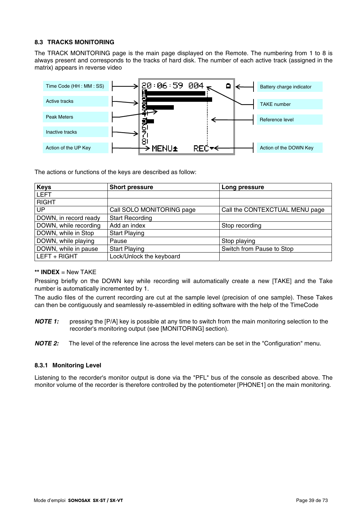### **8.3 TRACKS MONITORING**

The TRACK MONITORING page is the main page displayed on the Remote. The numbering from 1 to 8 is always present and corresponds to the tracks of hard disk. The number of each active track (assigned in the matrix) appears in reverse video



The actions or functions of the keys are described as follow:

| <b>Keys</b>           | <b>Short pressure</b>     | Long pressure                  |  |
|-----------------------|---------------------------|--------------------------------|--|
| <b>LEFT</b>           |                           |                                |  |
| <b>RIGHT</b>          |                           |                                |  |
| UP                    | Call SOLO MONITORING page | Call the CONTEXCTUAL MENU page |  |
| DOWN, in record ready | <b>Start Recording</b>    |                                |  |
| DOWN, while recording | Add an index              | Stop recording                 |  |
| DOWN, while in Stop   | <b>Start Playing</b>      |                                |  |
| DOWN, while playing   | Pause                     | Stop playing                   |  |
| DOWN, while in pause  | <b>Start Playing</b>      | Switch from Pause to Stop      |  |
| LEFT + RIGHT          | Lock/Unlock the keyboard  |                                |  |

#### **\*\* INDEX** = New TAKE

Pressing briefly on the DOWN key while recording will automatically create a new [TAKE] and the Take number is automatically incremented by 1.

The audio files of the current recording are cut at the sample level (precision of one sample). These Takes can then be contiguously and seamlessly re-assembled in editing software with the help of the TimeCode

*NOTE 1:* pressing the [P/A] key is possible at any time to switch from the main monitoring selection to the recorder's monitoring output (see [MONITORING] section).

*NOTE 2:* The level of the reference line across the level meters can be set in the "Configuration" menu.

### **8.3.1 Monitoring Level**

Listening to the recorder's monitor output is done via the "PFL" bus of the console as described above. The monitor volume of the recorder is therefore controlled by the potentiometer [PHONE1] on the main monitoring.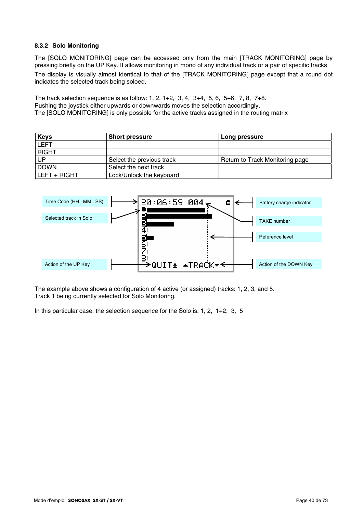### **8.3.2 Solo Monitoring**

The [SOLO MONITORING] page can be accessed only from the main [TRACK MONITORING] page by pressing briefly on the UP Key. It allows monitoring in mono of any individual track or a pair of specific tracks The display is visually almost identical to that of the [TRACK MONITORING] page except that a round dot indicates the selected track being soloed.

The track selection sequence is as follow: 1, 2, 1+2, 3, 4, 3+4, 5, 6, 5+6, 7, 8, 7+8. Pushing the joystick either upwards or downwards moves the selection accordingly. The [SOLO MONITORING] is only possible for the active tracks assigned in the routing matrix

| <b>Keys</b>  | <b>Short pressure</b>     | Long pressure                   |
|--------------|---------------------------|---------------------------------|
| <b>LEFT</b>  |                           |                                 |
| <b>RIGHT</b> |                           |                                 |
| <b>UP</b>    | Select the previous track | Return to Track Monitoring page |
| <b>DOWN</b>  | Select the next track     |                                 |
| LEFT + RIGHT | Lock/Unlock the keyboard  |                                 |



The example above shows a configuration of 4 active (or assigned) tracks: 1, 2, 3, and 5. Track 1 being currently selected for Solo Monitoring.

In this particular case, the selection sequence for the Solo is: 1, 2, 1+2, 3, 5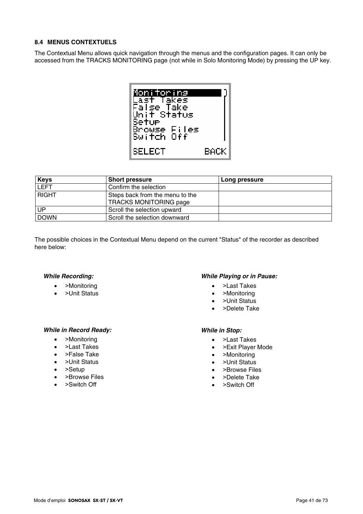### **8.4 MENUS CONTEXTUELS**

The Contextual Menu allows quick navigation through the menus and the configuration pages. It can only be accessed from the TRACKS MONITORING page (not while in Solo Monitoring Mode) by pressing the UP key.



| <b>Keys</b>  | <b>Short pressure</b>           | Long pressure |
|--------------|---------------------------------|---------------|
| <b>LEFT</b>  | Confirm the selection           |               |
| <b>RIGHT</b> | Steps back from the menu to the |               |
|              | <b>TRACKS MONITORING page</b>   |               |
| UP           | Scroll the selection upward     |               |
| <b>DOWN</b>  | Scroll the selection downward   |               |

The possible choices in the Contextual Menu depend on the current "Status" of the recorder as described here below:

### *While Recording:*

- >Monitoring
- >Unit Status

### *While Playing or in Pause:*

- >Last Takes
- >Monitoring
- >Unit Status
- >Delete Take

### *While in Record Ready:*

- >Monitoring
- >Last Takes
- >False Take
- >Unit Status
- >Setup
- >Browse Files
- >Switch Off

#### *While in Stop:*

- >Last Takes
- >Exit Player Mode
- >Monitoring
- >Unit Status
- >Browse Files
- >Delete Take
- >Switch Off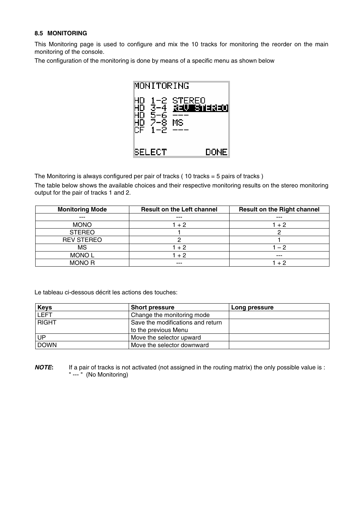### **8.5 MONITORING**

This Monitoring page is used to configure and mix the 10 tracks for monitoring the reorder on the main monitoring of the console.

The configuration of the monitoring is done by means of a specific menu as shown below



The Monitoring is always configured per pair of tracks  $( 10$  tracks = 5 pairs of tracks  $)$ 

The table below shows the available choices and their respective monitoring results on the stereo monitoring output for the pair of tracks 1 and 2.

| <b>Monitoring Mode</b> | <b>Result on the Left channel</b> | <b>Result on the Right channel</b> |
|------------------------|-----------------------------------|------------------------------------|
| $- - -$                | $- - -$                           | $- - -$                            |
| <b>MONO</b>            | 1 + 2                             | $+2$                               |
| <b>STEREO</b>          |                                   |                                    |
| <b>REV STEREO</b>      |                                   |                                    |
| MS                     | $1 + 2$                           | $-2$                               |
| <b>MONOL</b>           | $+2$                              | $- - -$                            |
| <b>MONOR</b>           | ---                               | ⊥ 2                                |

Le tableau ci-dessous décrit les actions des touches:

| <b>Keys</b>  | <b>Short pressure</b>             | Long pressure |
|--------------|-----------------------------------|---------------|
| <b>LEFT</b>  | Change the monitoring mode        |               |
| <b>RIGHT</b> | Save the modifications and return |               |
|              | to the previous Menu              |               |
| UP.          | Move the selector upward          |               |
| <b>DOWN</b>  | Move the selector downward        |               |

*NOTE*: If a pair of tracks is not activated (not assigned in the routing matrix) the only possible value is : " --- " (No Monitoring)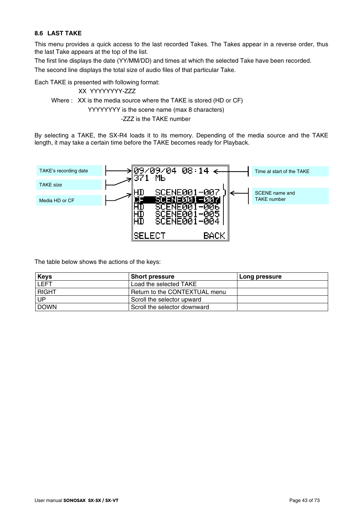### **8.6 LAST TAKE**

This menu provides a quick access to the last recorded Takes. The Takes appear in a reverse order, thus the last Take appears at the top of the list.

The first line displays the date (YY/MM/DD) and times at which the selected Take have been recorded.

The second line displays the total size of audio files of that particular Take.

Each TAKE is presented with following format:

XX YYYYYYYY-ZZZ Where : XX is the media source where the TAKE is stored (HD or CF) YYYYYYYY is the scene name (max 8 characters) -ZZZ is the TAKE number

By selecting a TAKE, the SX-R4 loads it to its memory. Depending of the media source and the TAKE length, it may take a certain time before the TAKE becomes ready for Playback.



The table below shows the actions of the keys:

| <b>Keys</b>  | <b>Short pressure</b>         | Long pressure |
|--------------|-------------------------------|---------------|
| <b>LEFT</b>  | Load the selected TAKE        |               |
| <b>RIGHT</b> | Return to the CONTEXTUAL menu |               |
| UP           | Scroll the selector upward    |               |
| <b>DOWN</b>  | Scroll the selector downward  |               |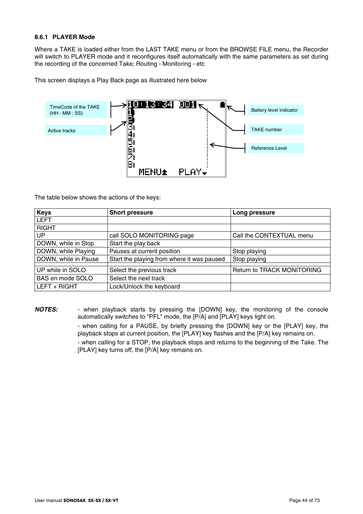### **8.6.1 PLAYER Mode**

Where a TAKE is loaded either from the LAST TAKE menu or from the BROWSE FILE menu, the Recorder will switch to PLAYER mode and it reconfigures itself automatically with the same parameters as set during the recording of the concerned Take; Routing - Monitoring - etc

This screen displays a Play Back page as illustrated here below



The table below shows the actions of the keys:

| <b>Keys</b>          | <b>Short pressure</b>                      | Long pressure                     |
|----------------------|--------------------------------------------|-----------------------------------|
| <b>LEFT</b>          |                                            |                                   |
| <b>RIGHT</b>         |                                            |                                   |
| <b>UP</b>            | call SOLO MONITORING page                  | Call the CONTEXTUAL menu          |
| DOWN, while in Stop  | Start the play back                        |                                   |
| DOWN, while Playing  | Pauses at current position                 | Stop playing                      |
| DOWN, while in Pause | Start the playing from where it was paused | Stop playing                      |
| UP while in SOLO     | Select the previous track                  | <b>Return to TRACK MONITORING</b> |
| BAS en mode SOLO     | Select the next track                      |                                   |
| LEFT + RIGHT         | Lock/Unlock the keyboard                   |                                   |

*NOTES:* - when playback starts by pressing the [DOWN] key, the monitoring of the console automatically switches to "PFL" mode, the [P/A] and [PLAY] keys light on.

> - when calling for a PAUSE, by briefly pressing the [DOWN] key or the [PLAY] key, the playback stops at current position, the [PLAY] key flashes and the [P/A] key remains on.

> - when calling for a STOP, the playback stops and returns to the beginning of the Take. The [PLAY] key turns off, the [P/A] key remains on.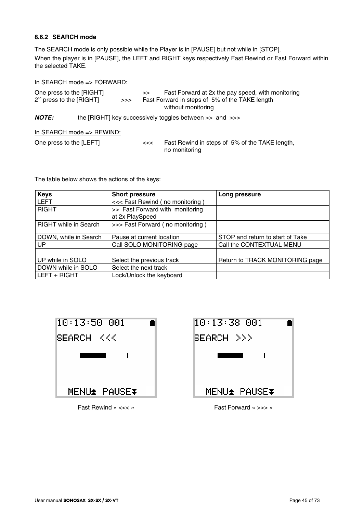# **8.6.2 SEARCH mode**

The SEARCH mode is only possible while the Player is in [PAUSE] but not while in [STOP]. When the player is in [PAUSE], the LEFT and RIGHT keys respectively Fast Rewind or Fast Forward within the selected TAKE.

### In SEARCH mode => FORWARD:

| One press to the [RIGHT]<br>$2^{nd}$ press to the [RIGHT] | >> | >> | Fast Forward at 2x the pay speed, with monitoring<br>Fast Forward in steps of 5% of the TAKE length<br>without monitoring |
|-----------------------------------------------------------|----|----|---------------------------------------------------------------------------------------------------------------------------|
| <b>NOTE:</b>                                              |    |    | the [RIGHT] key successively toggles between $\gg$ and $\gg$                                                              |
| In SEARCH mode $\Rightarrow$ REWIND:                      |    |    |                                                                                                                           |
| One press to the [LEFT]                                   |    | << | Fast Rewind in steps of 5% of the TAKE length,<br>no monitoring                                                           |

The table below shows the actions of the keys:

| <b>Keys</b>                  | <b>Short pressure</b>            | Long pressure                    |
|------------------------------|----------------------------------|----------------------------------|
| <b>LEFT</b>                  | <<< Fast Rewind (no monitoring)  |                                  |
| <b>RIGHT</b>                 | >> Fast Forward with monitoring  |                                  |
|                              | at 2x PlaySpeed                  |                                  |
| <b>RIGHT</b> while in Search | >>> Fast Forward (no monitoring) |                                  |
|                              |                                  |                                  |
| DOWN, while in Search        | Pause at current location        | STOP and return to start of Take |
| UP                           | Call SOLO MONITORING page        | Call the CONTEXTUAL MENU         |
|                              |                                  |                                  |
| UP while in SOLO             | Select the previous track        | Return to TRACK MONITORING page  |
| DOWN while in SOLO           | Select the next track            |                                  |
| LEFT + RIGHT                 | Lock/Unlock the keyboard         |                                  |



Fast Rewind « <<< » Fast Forward « >>> »

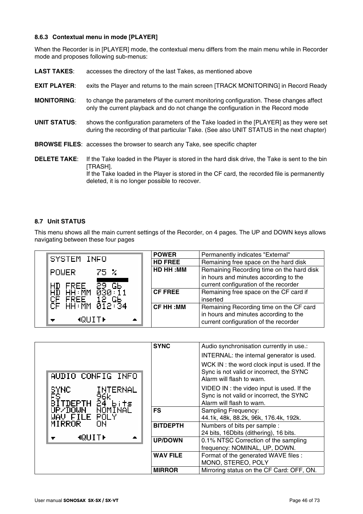# **8.6.3 Contextual menu in mode [PLAYER]**

When the Recorder is in [PLAYER] mode, the contextual menu differs from the main menu while in Recorder mode and proposes following sub-menus:

| <b>LAST TAKES:</b>  | accesses the directory of the last Takes, as mentioned above                                                                                                                                                                                               |
|---------------------|------------------------------------------------------------------------------------------------------------------------------------------------------------------------------------------------------------------------------------------------------------|
| <b>EXIT PLAYER:</b> | exits the Player and returns to the main screen [TRACK MONITORING] in Record Ready                                                                                                                                                                         |
| <b>MONITORING:</b>  | to change the parameters of the current monitoring configuration. These changes affect<br>only the current playback and do not change the configuration in the Record mode                                                                                 |
| <b>UNIT STATUS:</b> | shows the configuration parameters of the Take loaded in the [PLAYER] as they were set<br>during the recording of that particular Take. (See also UNIT STATUS in the next chapter)                                                                         |
|                     | <b>BROWSE FILES:</b> accesses the browser to search any Take, see specific chapter                                                                                                                                                                         |
| <b>DELETE TAKE:</b> | If the Take loaded in the Player is stored in the hard disk drive, the Take is sent to the bin<br>[TRASH].<br>If the Take loaded in the Player is stored in the CF card, the recorded file is permanently<br>deleted, it is no longer possible to recover. |

### **8.7 Unit STATUS**

This menu shows all the main current settings of the Recorder, on 4 pages. The UP and DOWN keys allows navigating between these four pages

|                                                                                                                                                                                                         | <b>POWER</b>    | Permanently indicates "External"                                                                                            |
|---------------------------------------------------------------------------------------------------------------------------------------------------------------------------------------------------------|-----------------|-----------------------------------------------------------------------------------------------------------------------------|
| SYSTEM INFO                                                                                                                                                                                             | <b>HD FREE</b>  | Remaining free space on the hard disk                                                                                       |
| <b>POWER</b><br>-75 X<br>HD FREE 29 Gb                                                                                                                                                                  | HD HH : MM      | Remaining Recording time on the hard disk<br>in hours and minutes according to the<br>current configuration of the recorder |
| $H\bar{D}$ $H\bar{H}$ $\bar{M}$ $\bar{M}$ $\bar{\theta}$ $\bar{\theta}$ $\bar{\theta}$ $\bar{\theta}$ $\bar{\theta}$ $\bar{\theta}$ $\bar{\theta}$ $\bar{\theta}$<br>CF FREE" IS G6"<br>CF HH:MM 012:34 | $ $ CF FREE     | Remaining free space on the CF card if<br>inserted                                                                          |
| <b>ROUITE</b><br>A.<br>$\blacksquare$                                                                                                                                                                   | <b>CF HH:MM</b> | Remaining Recording time on the CF card<br>in hours and minutes according to the<br>current configuration of the recorder   |

|                                                         | <b>SYNC</b>     | Audio synchronisation currently in use.:<br>INTERNAL: the internal generator is used.                                  |
|---------------------------------------------------------|-----------------|------------------------------------------------------------------------------------------------------------------------|
| AUDIO CONFIG INFO                                       |                 | WCK IN : the word clock input is used. If the<br>Sync is not valid or incorrect, the SYNC<br>Alarm will flash to warn. |
| SYNC.<br><b>INTERNAL</b><br>ĒŜ<br>96k<br>TDEPTH 24 bits |                 | VIDEO IN : the video input is used. If the<br>Sync is not valid or incorrect, the SYNC<br>Alarm will flash to warn.    |
| UP/DOWN NOMĪNAĒ<br>WAV FILE POLY<br>MIRROR<br>ЮN        | <b>FS</b>       | Sampling Frequency:<br>44.1k, 48k, 88.2k, 96k, 176.4k, 192k.                                                           |
|                                                         | <b>BITDEPTH</b> | Numbers of bits per sample :<br>24 bits, 16Dbits (dithering), 16 bits.                                                 |
| MQUIT⊮                                                  | <b>UP/DOWN</b>  | 0.1% NTSC Correction of the sampling<br>frequency: NOMINAL, UP, DOWN.                                                  |
|                                                         | <b>WAV FILE</b> | Format of the generated WAVE files :<br>MONO, STEREO, POLY                                                             |
|                                                         | <b>MIRROR</b>   | Mirroring status on the CF Card: OFF, ON.                                                                              |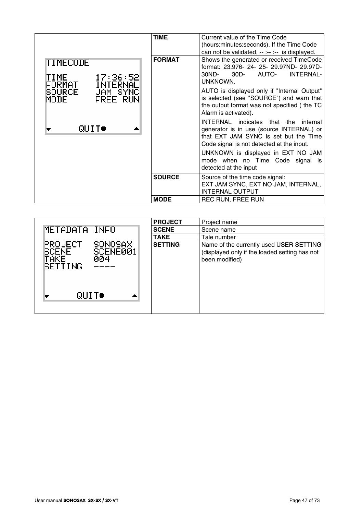|                                                                        | <b>TIME</b>   | Current value of the Time Code<br>(hours: minutes: seconds). If the Time Code<br>can not be validated, -- :-- :-- is displayed.                                           |
|------------------------------------------------------------------------|---------------|---------------------------------------------------------------------------------------------------------------------------------------------------------------------------|
| TIMECODE<br>TIME 17:36:52<br>FORMAT INTERNAL<br>SOURCE <u>JAM_SYNC</u> | <b>FORMAT</b> | Shows the generated or received TimeCode<br>format: 23.976- 24- 25- 29.97ND- 29.97D-<br>AUTO-<br><b>INTERNAL-</b><br>30ND-<br>$30D -$<br>UNKNOWN.                         |
| <b>FREE RUN</b><br>MODE                                                |               | AUTO is displayed only if "Internal Output"<br>is selected (see "SOURCE") and warn that<br>the output format was not specified (the TC<br>Alarm is activated).            |
| QUIT●                                                                  |               | INTERNAL indicates that the<br>internal<br>generator is in use (source INTERNAL) or<br>that EXT JAM SYNC is set but the Time<br>Code signal is not detected at the input. |
|                                                                        |               | UNKNOWN is displayed in EXT NO JAM<br>mode when no Time Code signal is<br>detected at the input                                                                           |
|                                                                        | <b>SOURCE</b> | Source of the time code signal:<br>EXT JAM SYNC, EXT NO JAM, INTERNAL,<br><b>INTERNAL OUTPUT</b>                                                                          |
|                                                                        | <b>MODE</b>   | <b>REC RUN, FREE RUN</b>                                                                                                                                                  |

|                                                                                                 | <b>PROJECT</b> | Project name                                                                                               |
|-------------------------------------------------------------------------------------------------|----------------|------------------------------------------------------------------------------------------------------------|
| METADATA INFO                                                                                   | <b>SCENE</b>   | Scene name                                                                                                 |
|                                                                                                 | <b>TAKE</b>    | Tale number                                                                                                |
| SONOSAX<br><b>PROJECT</b><br>SCENE001<br><b>SCENE</b><br>TAKE<br>004<br><b>SETTING</b><br>QUIT● | <b>SETTING</b> | Name of the currently used USER SETTING<br>(displayed only if the loaded setting has not<br>been modified) |
|                                                                                                 |                |                                                                                                            |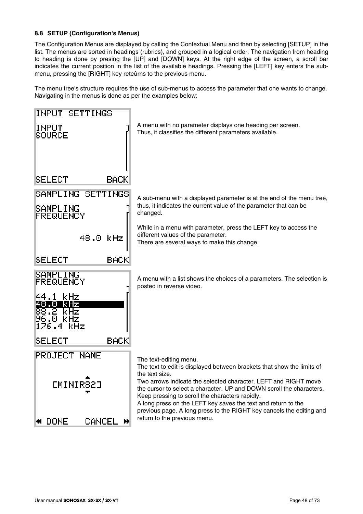### **8.8 SETUP (Configuration's Menus)**

The Configuration Menus are displayed by calling the Contextual Menu and then by selecting [SETUP] in the list. The menus are sorted in headings (rubrics), and grouped in a logical order. The navigation from heading to heading is done by presing the [UP] and [DOWN] keys. At the right edge of the screen, a scroll bar indicates the current position in the list of the available headings. Pressing the [LEFT] key enters the submenu, pressing the [RIGHT] key reteûrns to the previous menu.

The menu tree's structure requires the use of sub-menus to access the parameter that one wants to change. Navigating in the menus is done as per the examples below:

| INPUT SETTINGS                                                  |                                                                                                                                                                                                                                                                                                                                                                                                                                 |
|-----------------------------------------------------------------|---------------------------------------------------------------------------------------------------------------------------------------------------------------------------------------------------------------------------------------------------------------------------------------------------------------------------------------------------------------------------------------------------------------------------------|
| INPUT<br><b>SOURCE</b>                                          | A menu with no parameter displays one heading per screen.<br>Thus, it classifies the different parameters available.                                                                                                                                                                                                                                                                                                            |
| BACK<br><b>SELECT</b>                                           |                                                                                                                                                                                                                                                                                                                                                                                                                                 |
| SAMPLING SETTINGS                                               | A sub-menu with a displayed parameter is at the end of the menu tree,                                                                                                                                                                                                                                                                                                                                                           |
| SAMPLING<br>FREQUENCY                                           | thus, it indicates the current value of the parameter that can be<br>changed.                                                                                                                                                                                                                                                                                                                                                   |
| 48.0 kHz                                                        | While in a menu with parameter, press the LEFT key to access the<br>different values of the parameter.<br>There are several ways to make this change.                                                                                                                                                                                                                                                                           |
| <b>BACK</b><br>SELECT                                           |                                                                                                                                                                                                                                                                                                                                                                                                                                 |
| SAMPLING<br>FREQUENCY                                           | A menu with a list shows the choices of a parameters. The selection is<br>posted in reverse video.                                                                                                                                                                                                                                                                                                                              |
| 44.1<br>kHz<br>48.U<br>KHZ<br>38.2 kHz<br>96.0 kHz<br>176.4 kHz |                                                                                                                                                                                                                                                                                                                                                                                                                                 |
| <b>BACK</b><br>SELECT                                           |                                                                                                                                                                                                                                                                                                                                                                                                                                 |
| <b>PROJECT NAME</b>                                             | The text-editing menu.                                                                                                                                                                                                                                                                                                                                                                                                          |
| <b>CMINIR82J</b>                                                | The text to edit is displayed between brackets that show the limits of<br>the text size.<br>Two arrows indicate the selected character. LEFT and RIGHT move<br>the cursor to select a character. UP and DOWN scroll the characters.<br>Keep pressing to scroll the characters rapidly.<br>A long press on the LEFT key saves the text and return to the<br>previous page. A long press to the RIGHT key cancels the editing and |
| DONE<br>CANCE                                                   | return to the previous menu.                                                                                                                                                                                                                                                                                                                                                                                                    |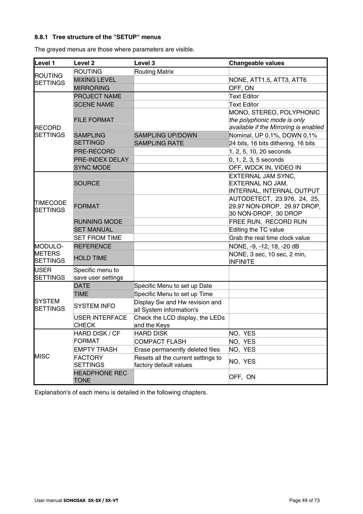# **8.8.1 Tree structure of the "SETUP" menus**

The greyed menus are those where parameters are visible.

| Level 1                           | Level <sub>2</sub>                    | Level 3                                                    | Changeable values                              |
|-----------------------------------|---------------------------------------|------------------------------------------------------------|------------------------------------------------|
|                                   | <b>ROUTING</b>                        | <b>Routing Matrix</b>                                      |                                                |
| <b>ROUTING</b><br><b>SETTINGS</b> | <b>MIXING LEVEL</b>                   |                                                            | NONE, ATT1.5, ATT3, ATT6                       |
|                                   | <b>MIRRORING</b>                      |                                                            | OFF, ON                                        |
|                                   | <b>PROJECT NAME</b>                   |                                                            | <b>Text Editor</b>                             |
|                                   | <b>SCENE NAME</b>                     |                                                            | Text Editor                                    |
|                                   |                                       |                                                            | MONO, STEREO, POLYPHONIC                       |
|                                   | <b>FILE FORMAT</b>                    |                                                            | the polyphonic mode is only                    |
| <b>RECORD</b>                     |                                       |                                                            | available if the Mirroring is enabled          |
| <b>SETTINGS</b>                   | <b>SAMPLING</b>                       | <b>SAMPLING UP/DOWN</b>                                    | Nominal, UP 0,1%, DOWN 0,1%                    |
|                                   | <b>SETTINGD</b>                       | <b>SAMPLING RATE</b>                                       | 24 bits, 16 bits dithering, 16 bits            |
|                                   | PRE-RECORD                            |                                                            | 1, 2, 5, 10, 20 seconds                        |
|                                   | PRE-INDEX DELAY                       |                                                            | $0, 1, 2, 3, 5$ seconds                        |
|                                   | <b>SYNC MODE</b>                      |                                                            | OFF, WDCK IN, VIDEO IN                         |
|                                   |                                       |                                                            | EXTERNAL JAM SYNC,                             |
|                                   | <b>SOURCE</b>                         |                                                            | EXTERNAL NO JAM,                               |
|                                   |                                       |                                                            | INTERNAL, INTERNAL OUTPUT                      |
| <b>TIMECODE</b>                   |                                       |                                                            | AUTODETECT, 23.976, 24, 25,                    |
| <b>SETTINGS</b>                   | <b>FORMAT</b>                         |                                                            | 29.97 NON-DROP, 29.97 DROP,                    |
|                                   |                                       |                                                            | 30 NON-DROP, 30 DROP                           |
|                                   | <b>RUNNING MODE</b>                   |                                                            | FREE RUN, RECORD RUN                           |
|                                   | <b>SET MANUAL</b>                     |                                                            | Editing the TC value                           |
|                                   | <b>SET FROM TIME</b>                  |                                                            | Grab the real time clock value                 |
| MODULO-                           | <b>REFERENCE</b>                      |                                                            | NONE, -9, -12, 18, -20 dB                      |
| <b>METERS</b><br><b>SETTINGS</b>  | <b>HOLD TIME</b>                      |                                                            | NONE, 3 sec, 10 sec, 2 min,<br><b>INFINITE</b> |
| <b>USER</b>                       | Specific menu to                      |                                                            |                                                |
| <b>SETTINGS</b>                   | save user settings                    |                                                            |                                                |
|                                   | <b>DATE</b>                           | Specific Menu to set up Date                               |                                                |
|                                   | <b>TIME</b>                           | Specific Menu to set up Time                               |                                                |
| <b>SYSTEM</b><br><b>SETTINGS</b>  | <b>SYSTEM INFO</b>                    | Display Sw and Hw revision and<br>all System information's |                                                |
|                                   | <b>USER INTERFACE</b><br><b>CHECK</b> | Check the LCD display, the LEDs<br>and the Keys            |                                                |
|                                   | HARD DISK / CF                        | <b>HARD DISK</b>                                           | NO, YES                                        |
|                                   | <b>FORMAT</b>                         | <b>COMPACT FLASH</b>                                       | NO, YES                                        |
|                                   | <b>EMPTY TRASH</b>                    | Erase permanently deleted files                            | NO, YES                                        |
| <b>MISC</b>                       | <b>FACTORY</b>                        | Resets all the current settings to                         |                                                |
|                                   | <b>SETTINGS</b>                       | factory default values                                     | NO, YES                                        |
|                                   | <b>HEADPHONE REC</b><br><b>TONE</b>   |                                                            | OFF, ON                                        |

Explanation's of each menu is detailed in the following chapters.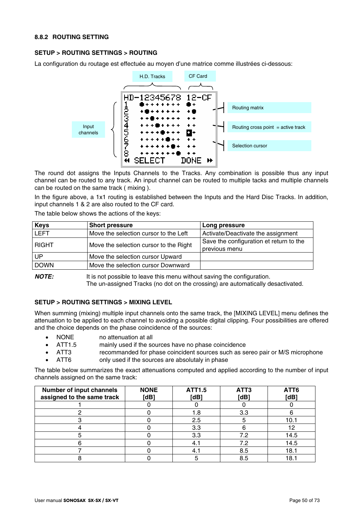### **8.8.2 ROUTING SETTING**

### **SETUP > ROUTING SETTINGS > ROUTING**

La configuration du routage est effectuée au moyen d'une matrice comme illustrées ci-dessous:



The round dot assigns the Inputs Channels to the Tracks. Any combination is possible thus any input channel can be routed to any track. An input channel can be routed to multiple tacks and multiple channels can be routed on the same track ( mixing ).

In the figure above, a 1x1 routing is established between the Inputs and the Hard Disc Tracks. In addition, input channels 1 & 2 are also routed to the CF card.

The table below shows the actions of the keys:

| <b>Keys</b>  | <b>Short pressure</b>                  | Long pressure                                            |
|--------------|----------------------------------------|----------------------------------------------------------|
| <b>LEFT</b>  | Move the selection cursor to the Left  | Activate/Deactivate the assignment                       |
| <b>RIGHT</b> | Move the selection cursor to the Right | Save the configuration et return to the<br>previous menu |
| UP           | Move the selection cursor Upward       |                                                          |
| <b>DOWN</b>  | Move the selection cursor Downward     |                                                          |

*NOTE:* It is not possible to leave this menu without saving the configuration. The un-assigned Tracks (no dot on the crossing) are automatically desactivated.

### **SETUP > ROUTING SETTINGS > MIXING LEVEL**

When summing (mixing) multiple input channels onto the same track, the [MIXING LEVEL] menu defines the attenuation to be applied to each channel to avoiding a possible digital clipping. Four possibilities are offered and the choice depends on the phase coincidence of the sources:

- NONE no attenuation at all
- ATT1.5 mainly used if the sources have no phase coincidence
- ATT3 recommanded for phase coincident sources such as sereo pair or M/S microphone
- ATT6 only used if the sources are absolutaly in phase

The table below summarizes the exact attenuations computed and applied according to the number of input channels assigned on the same track:

| Number of input channels<br>assigned to the same track | <b>NONE</b><br>[dB] | ATT1.5<br>[dB] | ATT3<br>[dB] | ATT6<br>[dB] |
|--------------------------------------------------------|---------------------|----------------|--------------|--------------|
|                                                        |                     |                |              |              |
|                                                        |                     | 1.8            | 3.3          |              |
|                                                        |                     | 2.5            |              | 10.1         |
|                                                        |                     | 3.3            |              | 12           |
|                                                        |                     | 3.3            | 7.2          | 14.5         |
|                                                        |                     | -4.            | 7.2          | 14.5         |
|                                                        |                     | 4.             | 8.5          | 18.1         |
|                                                        |                     |                | 8.5          | 18.1         |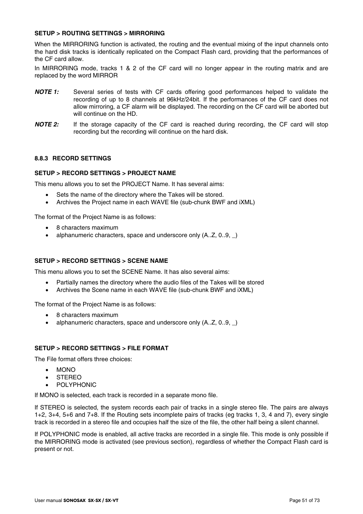### **SETUP > ROUTING SETTINGS > MIRRORING**

When the MIRRORING function is activated, the routing and the eventual mixing of the input channels onto the hard disk tracks is identically replicated on the Compact Flash card, providing that the performances of the CF card allow.

In MIRRORING mode, tracks 1 & 2 of the CF card will no longer appear in the routing matrix and are replaced by the word MIRROR

- *NOTE 1:* Several series of tests with CF cards offering good performances helped to validate the recording of up to 8 channels at 96kHz/24bit. If the performances of the CF card does not allow mirroring, a CF alarm will be displayed. The recording on the CF card will be aborted but will continue on the HD.
- *NOTE 2:* If the storage capacity of the CF card is reached during recording, the CF card will stop recording but the recording will continue on the hard disk.

### **8.8.3 RECORD SETTINGS**

### **SETUP > RECORD SETTINGS > PROJECT NAME**

This menu allows you to set the PROJECT Name. It has several aims:

- Sets the name of the directory where the Takes will be stored.
- Archives the Project name in each WAVE file (sub-chunk BWF and iXML)

The format of the Project Name is as follows:

- 8 characters maximum
- alphanumeric characters, space and underscore only (A..Z, 0..9, )

### **SETUP > RECORD SETTINGS > SCENE NAME**

This menu allows you to set the SCENE Name. It has also several aims:

- Partially names the directory where the audio files of the Takes will be stored
- Archives the Scene name in each WAVE file (sub-chunk BWF and iXML)

The format of the Project Name is as follows:

- 8 characters maximum
- alphanumeric characters, space and underscore only (A..Z, 0..9, \_)

#### **SETUP > RECORD SETTINGS > FILE FORMAT**

The File format offers three choices:

- MONO
- **STEREO**
- **POLYPHONIC**

If MONO is selected, each track is recorded in a separate mono file.

If STEREO is selected, the system records each pair of tracks in a single stereo file. The pairs are always 1+2, 3+4, 5+6 and 7+8. If the Routing sets incomplete pairs of tracks (eg tracks 1, 3, 4 and 7), every single track is recorded in a stereo file and occupies half the size of the file, the other half being a silent channel.

If POLYPHONIC mode is enabled, all active tracks are recorded in a single file. This mode is only possible if the MIRRORING mode is activated (see previous section), regardless of whether the Compact Flash card is present or not.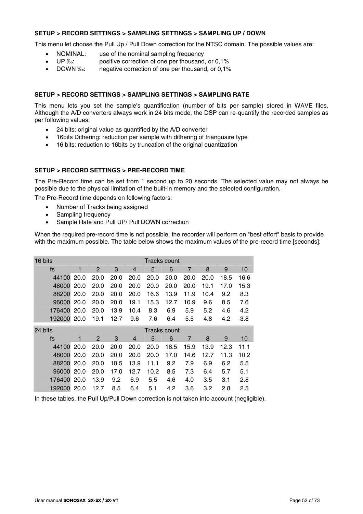### **SETUP > RECORD SETTINGS > SAMPLING SETTINGS > SAMPLING UP / DOWN**

This menu let choose the Pull Up / Pull Down correction for the NTSC domain. The possible values are:

- NOMINAL: use of the nominal sampling frequency
- UP ‰: positive correction of one per thousand, or 0,1%
- DOWN ‰: negative correction of one per thousand, or 0,1%

### **SETUP > RECORD SETTINGS > SAMPLING SETTINGS > SAMPLING RATE**

This menu lets you set the sample's quantification (number of bits per sample) stored in WAVE files. Although the A/D converters always work in 24 bits mode, the DSP can re-quantify the recorded samples as per following values:

- 24 bits: original value as quantified by the A/D converter
- 16bits Dithering: reduction per sample with dithering of trianguaire type
- 16 bits: reduction to 16bits by truncation of the original quantization

### **SETUP > RECORD SETTINGS > PRE-RECORD TIME**

The Pre-Record time can be set from 1 second up to 20 seconds. The selected value may not always be possible due to the physical limitation of the built-in memory and the selected configuration.

The Pre-Record time depends on following factors:

- Number of Tracks being assigned
- Sampling frequency
- Sample Rate and Pull UP/ Pull DOWN correction

When the required pre-record time is not possible, the recorder will perform on "best effort" basis to provide with the maximum possible. The table below shows the maximum values of the pre-record time [seconds]:

| 16 bits |      |      |      |      |      | <b>Tracks count</b> |      |      |      |      |
|---------|------|------|------|------|------|---------------------|------|------|------|------|
| fs      | 1    | 2    | 3    | 4    | 5    | 6                   | 7    | 8    | 9    | 10   |
| 44100   | 20.0 | 20.0 | 20.0 | 20.0 | 20.0 | 20.0                | 20.0 | 20.0 | 18.5 | 16.6 |
| 48000   | 20.0 | 20.0 | 20.0 | 20.0 | 20.0 | 20.0                | 20.0 | 19.1 | 17.0 | 15.3 |
| 88200   | 20.0 | 20.0 | 20.0 | 20.0 | 16.6 | 13.9                | 11.9 | 10.4 | 9.2  | 8.3  |
| 96000   | 20.0 | 20.0 | 20.0 | 19.1 | 15.3 | 12.7                | 10.9 | 9.6  | 8.5  | 7.6  |
| 176400  | 20.0 | 20.0 | 13.9 | 10.4 | 8.3  | 6.9                 | 5.9  | 5.2  | 4.6  | 4.2  |
| 192000  | 20.0 | 19.1 | 12.7 | 9.6  | 7.6  | 6.4                 | 5.5  | 4.8  | 4.2  | 3.8  |
|         |      |      |      |      |      |                     |      |      |      |      |
| 24 bits |      |      |      |      |      | <b>Tracks count</b> |      |      |      |      |
| fs      | 1    | 2    | 3    | 4    | 5    | 6                   | 7    | 8    | 9    | 10   |
| 44100   | 20.0 | 20.0 | 20.0 | 20.0 | 20.0 | 18.5                | 15.9 | 13.9 | 12.3 | 11.1 |
| 48000   | 20.0 | 20.0 | 20.0 | 20.0 | 20.0 | 17.0                | 14.6 | 12.7 | 11.3 | 10.2 |
| 88200   | 20.0 | 20.0 | 18.5 | 13.9 | 11.1 | 9.2                 | 7.9  | 6.9  | 6.2  | 5.5  |
| 96000   | 20.0 | 20.0 | 17.0 | 12.7 | 10.2 | 8.5                 | 7.3  | 6.4  | 5.7  | 5.1  |
| 176400  | 20.0 | 13.9 | 9.2  | 6.9  | 5.5  | 4.6                 | 4.0  | 3.5  | 3.1  | 2.8  |

In these tables, the Pull Up/Pull Down correction is not taken into account (negligible).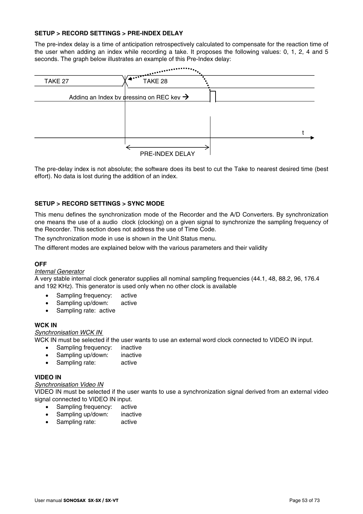### **SETUP > RECORD SETTINGS > PRE-INDEX DELAY**

The pre-index delay is a time of anticipation retrospectively calculated to compensate for the reaction time of the user when adding an index while recording a take. It proposes the following values: 0, 1, 2, 4 and 5 seconds. The graph below illustrates an example of this Pre-Index delay:



The pre-delay index is not absolute; the software does its best to cut the Take to nearest desired time (best effort). No data is lost during the addition of an index.

### **SETUP > RECORD SETTINGS > SYNC MODE**

This menu defines the synchronization mode of the Recorder and the A/D Converters. By synchronization one means the use of a audio clock (clocking) on a given signal to synchronize the sampling frequency of the Recorder. This section does not address the use of Time Code.

The synchronization mode in use is shown in the Unit Status menu.

The different modes are explained below with the various parameters and their validity

#### **OFF**

#### *Internal Generator*

A very stable internal clock generator supplies all nominal sampling frequencies (44.1, 48, 88.2, 96, 176.4 and 192 KHz). This generator is used only when no other clock is available

- Sampling frequency: active
- Sampling up/down: active
- Sampling rate: active

#### **WCK IN**

#### *Synchronisation WCK IN*

- WCK IN must be selected if the user wants to use an external word clock connected to VIDEO IN input.
	- Sampling frequency: inactive
	- Sampling up/down: inactive
	- Sampling rate: active

#### **VIDEO IN**

#### *Synchronisation Video IN*

VIDEO IN must be selected if the user wants to use a synchronization signal derived from an external video signal connected to VIDEO IN input.

- Sampling frequency: active
- Sampling up/down: inactive
- Sampling rate: active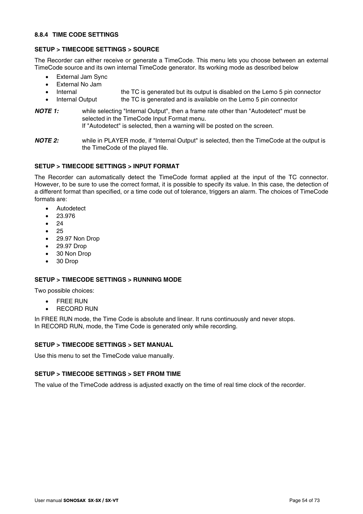### **8.8.4 TIME CODE SETTINGS**

### **SETUP > TIMECODE SETTINGS > SOURCE**

The Recorder can either receive or generate a TimeCode. This menu lets you choose between an external TimeCode source and its own internal TimeCode generator. Its working mode as described below

- External Jam Sync
- External No Jam
- Internal the TC is generated but its output is disabled on the Lemo 5 pin connector
- Internal Output the TC is generated and is available on the Lemo 5 pin connector

#### *NOTE 1:* while selecting "Internal Output", then a frame rate other than "Autodetect" must be selected in the TimeCode Input Format menu. If "Autodetect" is selected, then a warning will be posted on the screen.

*NOTE 2:* while in PLAYER mode, if "Internal Output" is selected, then the TimeCode at the output is the TimeCode of the played file.

### **SETUP > TIMECODE SETTINGS > INPUT FORMAT**

The Recorder can automatically detect the TimeCode format applied at the input of the TC connector. However, to be sure to use the correct format, it is possible to specify its value. In this case, the detection of a different format than specified, or a time code out of tolerance, triggers an alarm. The choices of TimeCode formats are:

- Autodetect
- 23.976
- $24$
- 25
- 29.97 Non Drop
- 29.97 Drop
- 30 Non Drop
- 30 Drop

### **SETUP > TIMECODE SETTINGS > RUNNING MODE**

Two possible choices:

- FREE RUN
- RECORD RUN

In FREE RUN mode, the Time Code is absolute and linear. It runs continuously and never stops. In RECORD RUN, mode, the Time Code is generated only while recording.

#### **SETUP > TIMECODE SETTINGS > SET MANUAL**

Use this menu to set the TimeCode value manually.

### **SETUP > TIMECODE SETTINGS > SET FROM TIME**

The value of the TimeCode address is adjusted exactly on the time of real time clock of the recorder.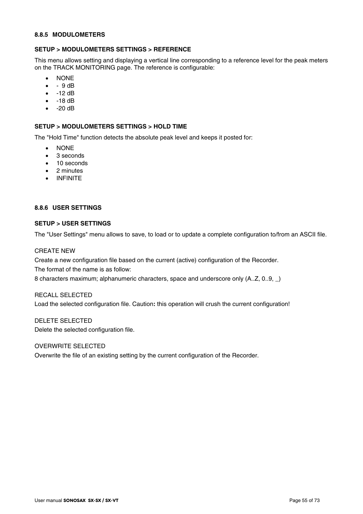#### **8.8.5 MODULOMETERS**

### **SETUP > MODULOMETERS SETTINGS > REFERENCE**

This menu allows setting and displaying a vertical line corresponding to a reference level for the peak meters on the TRACK MONITORING page. The reference is configurable:

- NONE
- $\bullet$  9 dB
- $\bullet$  -12 dB
- -18 dB
- $\bullet$  -20 dB

#### **SETUP > MODULOMETERS SETTINGS > HOLD TIME**

The "Hold Time" function detects the absolute peak level and keeps it posted for:

- NONE
- 3 seconds
- 10 seconds
- 2 minutes
- INFINITE

### **8.8.6 USER SETTINGS**

#### **SETUP > USER SETTINGS**

The "User Settings" menu allows to save, to load or to update a complete configuration to/from an ASCII file.

### CREATE NEW

Create a new configuration file based on the current (active) configuration of the Recorder.

The format of the name is as follow:

8 characters maximum; alphanumeric characters, space and underscore only (A..Z, 0..9, \_)

#### RECALL SELECTED

Load the selected configuration file. Caution**:** this operation will crush the current configuration!

DELETE SELECTED Delete the selected configuration file.

#### OVERWRITE SELECTED

Overwrite the file of an existing setting by the current configuration of the Recorder.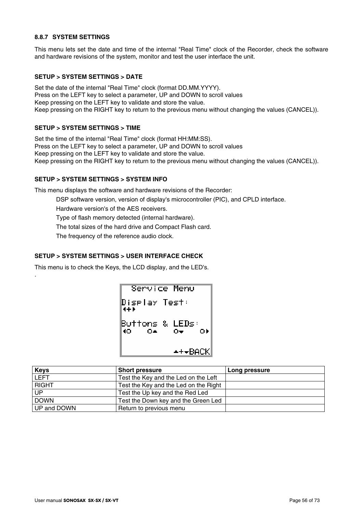# **8.8.7 SYSTEM SETTINGS**

This menu lets set the date and time of the internal "Real Time" clock of the Recorder, check the software and hardware revisions of the system, monitor and test the user interface the unit.

### **SETUP > SYSTEM SETTINGS > DATE**

Set the date of the internal "Real Time" clock (format DD.MM.YYYY). Press on the LEFT key to select a parameter, UP and DOWN to scroll values Keep pressing on the LEFT key to validate and store the value. Keep pressing on the RIGHT key to return to the previous menu without changing the values (CANCEL)).

### **SETUP > SYSTEM SETTINGS > TIME**

.

Set the time of the internal "Real Time" clock (format HH:MM:SS). Press on the LEFT key to select a parameter, UP and DOWN to scroll values Keep pressing on the LEFT key to validate and store the value. Keep pressing on the RIGHT key to return to the previous menu without changing the values (CANCEL)).

### **SETUP > SYSTEM SETTINGS > SYSTEM INFO**

This menu displays the software and hardware revisions of the Recorder:

DSP software version, version of display's microcontroller (PIC), and CPLD interface.

Hardware version's of the AES receivers.

Type of flash memory detected (internal hardware).

The total sizes of the hard drive and Compact Flash card.

The frequency of the reference audio clock.

### **SETUP > SYSTEM SETTINGS > USER INTERFACE CHECK**

This menu is to check the Keys, the LCD display, and the LED's.

Service Menu Diselay Test: Buttons & LEDs: 40. 0A O) O-∸+÷BACK

| <b>Keys</b>  | <b>Short pressure</b>                 | Long pressure |
|--------------|---------------------------------------|---------------|
| <b>LEFT</b>  | Test the Key and the Led on the Left  |               |
| <b>RIGHT</b> | Test the Key and the Led on the Right |               |
| <b>UP</b>    | Test the Up key and the Red Led       |               |
| <b>DOWN</b>  | Test the Down key and the Green Led   |               |
| UP and DOWN  | Return to previous menu               |               |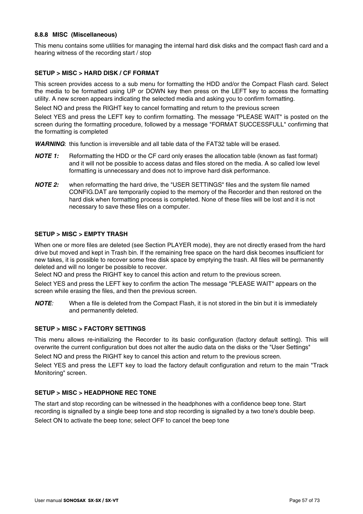### **8.8.8 MISC (Miscellaneous)**

This menu contains some utilities for managing the internal hard disk disks and the compact flash card and a hearing witness of the recording start / stop

### **SETUP > MISC > HARD DISK / CF FORMAT**

This screen provides access to a sub menu for formatting the HDD and/or the Compact Flash card. Select the media to be formatted using UP or DOWN key then press on the LEFT key to access the formatting utility. A new screen appears indicating the selected media and asking you to confirm formatting.

Select NO and press the RIGHT key to cancel formatting and return to the previous screen

Select YES and press the LEFT key to confirm formatting. The message "PLEASE WAIT" is posted on the screen during the formatting procedure, followed by a message "FORMAT SUCCESSFULL" confirming that the formatting is completed

*WARNING*: this function is irreversible and all table data of the FAT32 table will be erased.

- *NOTE 1:* Reformatting the HDD or the CF card only erases the allocation table (known as fast format) and it will not be possible to access datas and files stored on the media. A so called low level formatting is unnecessary and does not to improve hard disk performance.
- *NOTE 2:* when reformatting the hard drive, the "USER SETTINGS" files and the system file named CONFIG.DAT are temporarily copied to the memory of the Recorder and then restored on the hard disk when formatting process is completed. None of these files will be lost and it is not necessary to save these files on a computer.

### **SETUP > MISC > EMPTY TRASH**

When one or more files are deleted (see Section PLAYER mode), they are not directly erased from the hard drive but moved and kept in Trash bin. If the remaining free space on the hard disk becomes insufficient for new takes, it is possible to recover some free disk space by emptying the trash. All files will be permanently deleted and will no longer be possible to recover.

Select NO and press the RIGHT key to cancel this action and return to the previous screen.

Select YES and press the LEFT key to confirm the action The message "PLEASE WAIT" appears on the screen while erasing the files, and then the previous screen.

*NOTE:* When a file is deleted from the Compact Flash, it is not stored in the bin but it is immediately and permanently deleted.

#### **SETUP > MISC > FACTORY SETTINGS**

This menu allows re-initializing the Recorder to its basic configuration (factory default setting). This will overwrite the current configuration but does not alter the audio data on the disks or the "User Settings"

Select NO and press the RIGHT key to cancel this action and return to the previous screen.

Select YES and press the LEFT key to load the factory default configuration and return to the main "Track Monitoring" screen.

#### **SETUP > MISC > HEADPHONE REC TONE**

The start and stop recording can be witnessed in the headphones with a confidence beep tone. Start recording is signalled by a single beep tone and stop recording is signalled by a two tone's double beep. Select ON to activate the beep tone; select OFF to cancel the beep tone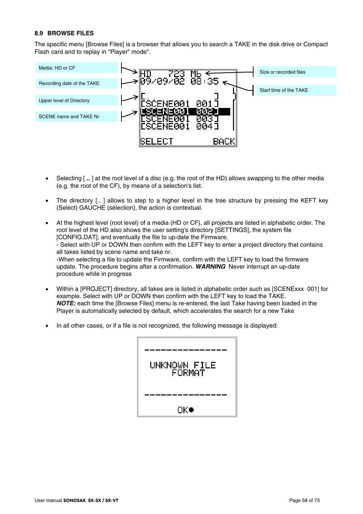### **8.9 BROWSE FILES**

The specific menu [Browse Files] is a browser that allows you to search a TAKE in the disk drive or Compact Flash card and to replay in "Player" mode".



- Selecting [ **..** ] at the root level of a disc (e.g. the root of the HD) allows swapping to the other media (e.g. the root of the CF), by means of a selection's list.
- The directory [.. ] allows to step to a higher level in the tree structure by pressing the KEFT key (Select) GAUCHE (sélection), the action is contextual.

| $\bullet$ | At the highest level (root level) of a media (HD or CF), all projects are listed in alphabetic order. The |
|-----------|-----------------------------------------------------------------------------------------------------------|
|           | root level of the HD also shows the user setting's directory [SETTINGS], the system file                  |
|           | [CONFIG.DAT], and eventually the file to up-date the Firmware.                                            |
|           | - Select with UP or DOWN then confirm with the LEFT key to enter a project directory that contains        |
|           | all takes listed by scene name and take nr.                                                               |
|           | -When selecting a file to update the Firmware, confirm with the LEFT key to load the firmware             |
|           | update. The procedure begins after a confirmation. <b>WARNING</b> Never interrupt an up-date              |
|           | procedure while in progress                                                                               |

- Within a [PROJECT] directory, all takes are is listed in alphabetic order such as [SCENExxx 001] for example. Select with UP or DOWN then confirm with the LEFT key to load the TAKE. *NOTE:* each time the [Browse Files] menu is re-entered, the last Take having been loaded in the Player is automatically selected by default, which accelerates the search for a new Take
- In all other cases, or if a file is not recognized, the following message is displayed:

| UNKNOWN FILE<br>FORMAT |
|------------------------|
| OK•                    |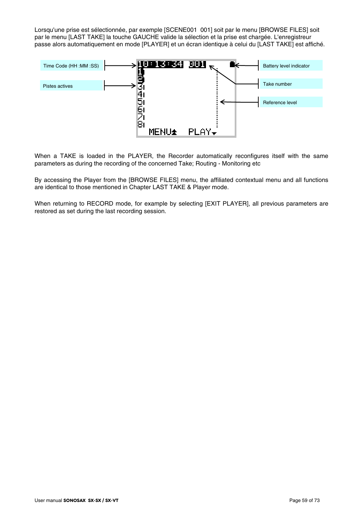Lorsqu'une prise est sélectionnée, par exemple [SCENE001 001] soit par le menu [BROWSE FILES] soit par le menu [LAST TAKE] la touche GAUCHE valide la sélection et la prise est chargée. L'enregistreur passe alors automatiquement en mode [PLAYER] et un écran identique à celui du [LAST TAKE] est affiché.



When a TAKE is loaded in the PLAYER, the Recorder automatically reconfigures itself with the same parameters as during the recording of the concerned Take; Routing - Monitoring etc

By accessing the Player from the [BROWSE FILES] menu, the affiliated contextual menu and all functions are identical to those mentioned in Chapter LAST TAKE & Player mode.

When returning to RECORD mode, for example by selecting [EXIT PLAYER], all previous parameters are restored as set during the last recording session.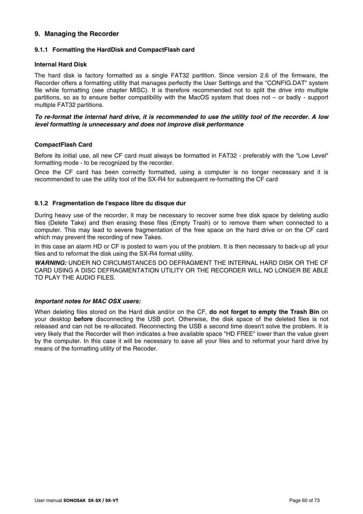### **9. Managing the Recorder**

### **9.1.1 Formatting the HardDisk and CompactFlash card**

#### **Internal Hard Disk**

The hard disk is factory formatted as a single FAT32 partition. Since version 2.6 of the firmware, the Recorder offers a formatting utility that manages perfectly the User Settings and the "CONFIG.DAT" system file while formatting (see chapter MISC). It is therefore recommended not to split the drive into multiple partitions, so as to ensure better compatibility with the MacOS system that does not – or badly - support multiple FAT32 partitions.

### *To re-format the internal hard drive, it is recommended to use the utility tool of the recorder. A low level formatting is unnecessary and does not improve disk performance*

### **CompactFlash Card**

Before its initial use, all new CF card must always be formatted in FAT32 - preferably with the "Low Level" formatting mode - to be recognized by the recorder.

Once the CF card has been correctly formatted, using a computer is no longer necessary and it is recommended to use the utility tool of the SX-R4 for subsequent re-formatting the CF card

### **9.1.2 Fragmentation de l'espace libre du disque dur**

During heavy use of the recorder, it may be necessary to recover some free disk space by deleting audio files (Delete Take) and then erasing these files (Empty Trash) or to remove them when connected to a computer. This may lead to severe fragmentation of the free space on the hard drive or on the CF card which may prevent the recording of new Takes.

In this case an alarm HD or CF is posted to warn you of the problem. It is then necessary to back-up all your files and to reformat the disk using the SX-R4 format utility.

*WARNING:* UNDER NO CIRCUMSTANCES DO DEFRAGMENT THE INTERNAL HARD DISK OR THE CF CARD USING A DISC DEFRAGMENTATION UTILITY OR THE RECORDER WILL NO LONGER BE ABLE TO PLAY THE AUDIO FILES.

#### *Important notes for MAC OSX users:*

When deleting files stored on the Hard disk and/or on the CF, **do not forget to empty the Trash Bin** on your desktop **before** disconnecting the USB port. Otherwise, the disk space of the deleted files is not released and can not be re-allocated. Reconnecting the USB a second time doesn't solve the problem. It is very likely that the Recorder will then indicates a free available space "HD FREE" lower than the value given by the computer. In this case it will be necessary to save all your files and to reformat your hard drive by means of the formatting utility of the Recoder.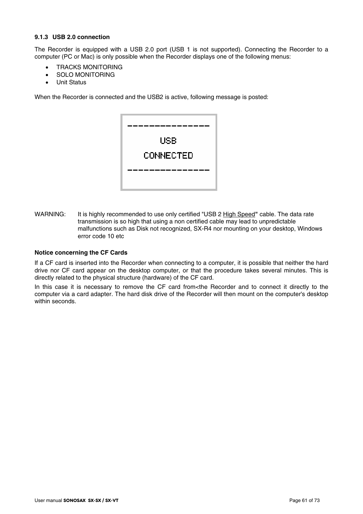# **9.1.3 USB 2.0 connection**

The Recorder is equipped with a USB 2.0 port (USB 1 is not supported). Connecting the Recorder to a computer (PC or Mac) is only possible when the Recorder displays one of the following menus:

- TRACKS MONITORING
- SOLO MONITORING
- Unit Status

When the Recorder is connected and the USB2 is active, following message is posted:



WARNING: It is highly recommended to use only certified "USB 2 High Speed**"** cable. The data rate transmission is so high that using a non certified cable may lead to unpredictable malfunctions such as Disk not recognized, SX-R4 nor mounting on your desktop, Windows error code 10 etc

### **Notice concerning the CF Cards**

If a CF card is inserted into the Recorder when connecting to a computer, it is possible that neither the hard drive nor CF card appear on the desktop computer, or that the procedure takes several minutes. This is directly related to the physical structure (hardware) of the CF card.

In this case it is necessary to remove the CF card from<the Recorder and to connect it directly to the computer via a card adapter. The hard disk drive of the Recorder will then mount on the computer's desktop within seconds.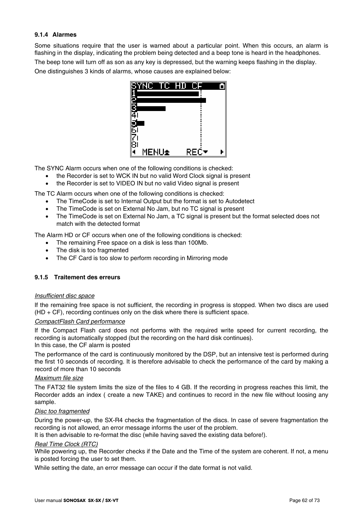### **9.1.4 Alarmes**

Some situations require that the user is warned about a particular point. When this occurs, an alarm is flashing in the display, indicating the problem being detected and a beep tone is heard in the headphones. The beep tone will turn off as son as any key is depressed, but the warning keeps flashing in the display. One distinguishes 3 kinds of alarms, whose causes are explained below:



The SYNC Alarm occurs when one of the following conditions is checked:

- the Recorder is set to WCK IN but no valid Word Clock signal is present
- the Recorder is set to VIDEO IN but no valid Video signal is present

The TC Alarm occurs when one of the following conditions is checked:

- The TimeCode is set to Internal Output but the format is set to Autodetect
- The TimeCode is set on External No Jam, but no TC signal is present
- The TimeCode is set on External No Jam, a TC signal is present but the format selected does not match with the detected format

The Alarm HD or CF occurs when one of the following conditions is checked:

- The remaining Free space on a disk is less than 100Mb.
- The disk is too fragmented
- The CF Card is too slow to perform recording in Mirroring mode

### **9.1.5 Traitement des erreurs**

#### *Insufficient disc space*

If the remaining free space is not sufficient, the recording in progress is stopped. When two discs are used  $(HD + CF)$ , recording continues only on the disk where there is sufficient space.

### *CompactFlash Card performance*

If the Compact Flash card does not performs with the required write speed for current recording, the recording is automatically stopped (but the recording on the hard disk continues). In this case, the CF alarm is posted

The performance of the card is continuously monitored by the DSP, but an intensive test is performed during the first 10 seconds of recording. It is therefore advisable to check the performance of the card by making a record of more than 10 seconds

#### *Maximum file size*

The FAT32 file system limits the size of the files to 4 GB. If the recording in progress reaches this limit, the Recorder adds an index ( create a new TAKE) and continues to record in the new file without loosing any sample.

#### *Disc too fragmented*

During the power-up, the SX-R4 checks the fragmentation of the discs. In case of severe fragmentation the recording is not allowed, an error message informs the user of the problem.

It is then advisable to re-format the disc (while having saved the existing data before!).

#### *Real Time Clock (RTC)*

While powering up, the Recorder checks if the Date and the Time of the system are coherent. If not, a menu is posted forcing the user to set them.

While setting the date, an error message can occur if the date format is not valid.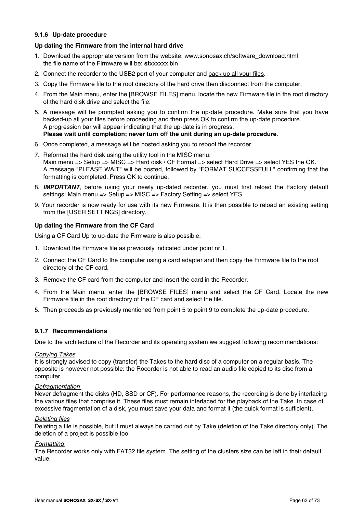### **9.1.6 Up-date procedure**

### **Up dating the Firmware from the internal hard drive**

- 1. Download the appropriate version from the website: www.sonosax.ch/software\_download.html the file name of the Firmware will be: **st**xxxxxx.bin
- 2. Connect the recorder to the USB2 port of your computer and back up all your files.
- 3. Copy the Firmware file to the root directory of the hard drive then disconnect from the computer.
- 4. From the Main menu, enter the [BROWSE FILES] menu, locate the new Firmware file in the root directory of the hard disk drive and select the file.
- 5. A message will be prompted asking you to confirm the up-date procedure. Make sure that you have backed-up all your files before proceeding and then press OK to confirm the up-date procedure. A progression bar will appear indicating that the up-date is in progress. **Please wait until completion; never turn off the unit during an up-date procedure**.
- 6. Once completed, a message will be posted asking you to reboot the recorder.
- 7. Reformat the hard disk using the utility tool in the MISC menu: Main menu => Setup => MISC => Hard disk / CF Format => select Hard Drive => select YES the OK. A message "PLEASE WAIT" will be posted, followed by "FORMAT SUCCESSFULL" confirming that the formatting is completed. Press OK to continue.
- 8. *IMPORTANT*, before using your newly up-dated recorder, you must first reload the Factory default settings: Main menu => Setup => MISC => Factory Setting => select YES
- 9. Your recorder is now ready for use with its new Firmware. It is then possible to reload an existing setting from the [USER SETTINGS] directory.

### **Up dating the Firmware from the CF Card**

Using a CF Card Up to up-date the Firmware is also possible:

- 1. Download the Firmware file as previously indicated under point nr 1.
- 2. Connect the CF Card to the computer using a card adapter and then copy the Firmware file to the root directory of the CF card.
- 3. Remove the CF card from the computer and insert the card in the Recorder.
- 4. From the Main menu, enter the [BROWSE FILES] menu and select the CF Card. Locate the new Firmware file in the root directory of the CF card and select the file.
- 5. Then proceeds as previously mentioned from point 5 to point 9 to complete the up-date procedure.

### **9.1.7 Recommendations**

Due to the architecture of the Recorder and its operating system we suggest following recommendations:

#### *Copying Takes*

It is strongly advised to copy (transfer) the Takes to the hard disc of a computer on a regular basis. The opposite is however not possible: the Rocorder is not able to read an audio file copied to its disc from a computer.

#### *Defragmentation*

Never defragment the disks (HD, SSD or CF). For performance reasons, the recording is done by interlacing the various files that comprise it. These files must remain interlaced for the playback of the Take. In case of excessive fragmentation of a disk, you must save your data and format it (the quick format is sufficient).

#### *Deleting files*

Deleting a file is possible, but it must always be carried out by Take (deletion of the Take directory only). The deletion of a project is possible too.

### *Formatting*

The Recorder works only with FAT32 file system. The setting of the clusters size can be left in their default value.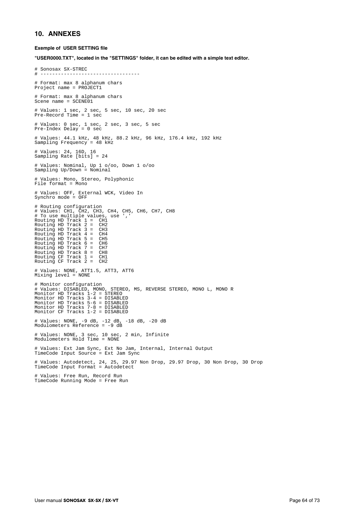#### **10. ANNEXES**

#### **Exemple of USER SETTING file**

**"USER0000.TXT", located in the "SETTINGS" folder, it can be edited with a simple text editor.** 

# Sonosax SX-STREC # ---------------------------------- # Format: max 8 alphanum chars Project name = PROJECT1 # Format: max 8 alphanum chars Scene name = SCENE01 # Values: 1 sec, 2 sec, 5 sec, 10 sec, 20 sec Pre-Record Time = 1 sec # Values: 0 sec, 1 sec, 2 sec, 3 sec, 5 sec Pre-Index Delay = 0 sec # Values: 44.1 kHz, 48 kHz, 88.2 kHz, 96 kHz, 176.4 kHz, 192 kHz Sampling Frequency = 48 kHz # Values: 24, 16D, 16 Sampling Rate [bits] = 24 # Values: Nominal, Up 1 o/oo, Down 1 o/oo Sampling Up/Down = Nominal # Values: Mono, Stereo, Polyphonic  $File format = Mono$ # Values: OFF, External WCK, Video In Synchro mode = OFF # Routing configuration # Values: CH1, CH2, CH3, CH4, CH5, CH6, CH7, CH8 # To use multiple values, use ',' Routing HD Track 1 = CH1 Routing HD Track 2 = CH2 Fouting HD Track 1 = CH1<br>Routing HD Track 1 = CH3<br>Routing HD Track 3 = CH3<br>Routing HD Track 4 = CH4 Routing HD Track 4 = CH4 Routing HD Track 5 = CH5 Routing HD Track 6 = CH6 Routing HD Track 7 = CH7<br>Routing HD Track 8 = CH8<br>Routing CF Track 1 = CH1<br>Routing CF Track 2 = CH2 # Values: NONE, ATT1.5, ATT3, ATT6 Mixing level = NONE # Monitor configuration # Values: DISABLED, MONO, STEREO, MS, REVERSE STEREO, MONO L, MONO R Monitor HD Tracks 1-2 = STEREO Monitor HD Tracks 3-4 = DISABLED Monitor HD Tracks 5-6 = DISABLED Monitor HD Tracks 7-8 = DISABLED Monitor CF Tracks 1-2 = DISABLED # Values: NONE, -9 dB, -12 dB, -18 dB, -20 dB Modulometers Reference = -9 dB # Values: NONE, 3 sec, 10 sec, 2 min, Infinite Modulometers Hold Time = NONE # Values: Ext Jam Sync, Ext No Jam, Internal, Internal Output TimeCode Input Source = Ext Jam Sync # Values: Autodetect, 24, 25, 29.97 Non Drop, 29.97 Drop, 30 Non Drop, 30 Drop TimeCode Input Format = Autodetect # Values: Free Run, Record Run TimeCode Running Mode = Free Run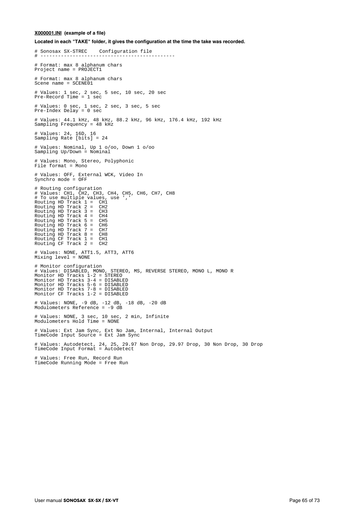#### **X000001.INI (example of a file)**

**Located in each "TAKE" folder, it gives the configuration at the time the take was recorded.**

# Sonosax SX-STREC Configuration file # ---------------------------------------------- # Format: max 8 alphanum chars Project name = PROJECT1 # Format: max 8 alphanum chars Scene name = SCENE01 # Values: 1 sec, 2 sec, 5 sec, 10 sec, 20 sec  $Pre-Record$  Time = 1 sec # Values: 0 sec, 1 sec, 2 sec, 3 sec, 5 sec Pre-Index Delay = 0 sec # Values: 44.1 kHz, 48 kHz, 88.2 kHz, 96 kHz, 176.4 kHz, 192 kHz Sampling Frequency = 48 kHz # Values: 24, 16D, 16 Sampling Rate [bits] = 24 # Values: Nominal, Up 1 o/oo, Down 1 o/oo Sampling Up/Down = Nominal # Values: Mono, Stereo, Polyphonic File format = Mono # Values: OFF, External WCK, Video In Synchro mode = OFF # Routing configuration # Values: CH1, CH2, CH3, CH4, CH5, CH6, CH7, CH8 # To use multiple values, use ',' Routing HD Track 1 = CH1 Routing HD Track 2 = CH2 Routing HD Track 3 = CH3 Routing HD Track 4 = CH4 Routing HD Track 5 = CH5 Routing HD Track 6 = CH6 Routing HD Track 7 = CH7 Routing HD Track 8 = CH8 Routing CF Track 1 = CH1 Routing CF Track 2 = CH2 # Values: NONE, ATT1.5, ATT3, ATT6 Mixing level = NONE # Monitor configuration # Values: DISABLED, MONO, STEREO, MS, REVERSE STEREO, MONO L, MONO R Monitor HD Tracks 1-2 = STEREO Monitor HD Tracks 3-4 = DISABLED Monitor HD Tracks 5-6 = DISABLED Monitor HD Tracks 7-8 = DISABLED Monitor CF Tracks 1-2 = DISABLED # Values: NONE, -9 dB, -12 dB, -18 dB, -20 dB Modulometers Reference = -9 dB # Values: NONE, 3 sec, 10 sec, 2 min, Infinite Modulometers Hold Time = NONE # Values: Ext Jam Sync, Ext No Jam, Internal, Internal Output TimeCode Input Source = Ext Jam Sync # Values: Autodetect, 24, 25, 29.97 Non Drop, 29.97 Drop, 30 Non Drop, 30 Drop TimeCode Input Format = Autodetect # Values: Free Run, Record Run TimeCode Running Mode = Free Run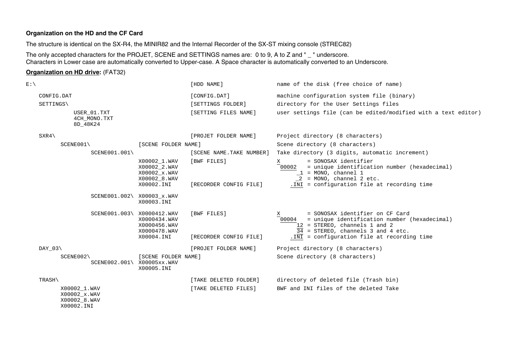### **Organization on the HD and the CF Card**

The structure is identical on the SX-R4, the MINIR82 and the Internal Recorder of the SX-ST mixing console (STREC82)

The only accepted characters for the PROJET, SCENE and SETTINGS names are: 0 to 9, A to Z and " \_ " underscore. Characters in Lower case are automatically converted to Upper-case. A Space character is automatically converted to an Underscore.

### **Organization on HD drive:** (FAT32)

| $E:\setminus$ |                                              |                                                                            | [HDD NAME]                            | name of the disk (free choice of name)                                                                                                                                                                               |
|---------------|----------------------------------------------|----------------------------------------------------------------------------|---------------------------------------|----------------------------------------------------------------------------------------------------------------------------------------------------------------------------------------------------------------------|
|               | CONFIG.DAT                                   |                                                                            | [CONFIG.DAT]                          | machine configuration system file (binary)                                                                                                                                                                           |
|               | SETTINGS\                                    |                                                                            | [SETTINGS FOLDER]                     | directory for the User Settings files                                                                                                                                                                                |
|               | USER 01. TXT<br>4CH MONO.TXT<br>8D 48K24     |                                                                            | [SETTING FILES NAME]                  | user settings file (can be edited/modified with a text editor)                                                                                                                                                       |
|               | SXR4                                         |                                                                            | [PROJET FOLDER NAME]                  | Project directory (8 characters)                                                                                                                                                                                     |
|               | SCENE001\                                    | [SCENE FOLDER NAME]                                                        |                                       | Scene directory (8 characters)                                                                                                                                                                                       |
|               | $SCENE001.001\backslash$                     |                                                                            | [SCENE NAME.TAKE NUMBER]              | Take directory (3 digits, automatic increment)                                                                                                                                                                       |
|               |                                              | X00002_1.WAV<br>X00002 2.WAV<br>X00002 x.WAV<br>X00002_8.WAV<br>X00002.INI | [BWF FILES]<br>[RECORDER CONFIG FILE] | = SONOSAX identifier<br>Χ<br>= unique identification number (hexadecimal)<br>00002<br>$1 = MONO$ , channel 1<br>$2 = MONO$ , channel 2 etc.<br>. INI = configuration file at recording time                          |
|               | SCENE001.002\ X00003_x.WAV                   | X00003.INI                                                                 |                                       |                                                                                                                                                                                                                      |
|               | SCENE001.003\ X0000412.WAV                   | X0000434.WAV<br>X0000456.WAV<br>X0000478.WAV<br>X00004.INI                 | [BWF FILES]<br>[RECORDER CONFIG FILE] | = SONOSAX identifier on CF Card<br>X<br>= unique identification number (hexadecimal)<br>00004<br>12 = STEREO, channels 1 and 2<br>34 = STEREO, channels 3 and 4 etc.<br>. INI = configuration file at recording time |
|               | $DAY_03\$                                    |                                                                            | [PROJET FOLDER NAME]                  | Project directory (8 characters)                                                                                                                                                                                     |
|               | SCENE002<br>SCENE002.001\ X00005xx.WAV       | [SCENE FOLDER NAME]<br>X00005.INI                                          |                                       | Scene directory (8 characters)                                                                                                                                                                                       |
|               | TRASH\                                       |                                                                            | [TAKE DELETED FOLDER]                 | directory of deleted file (Trash bin)                                                                                                                                                                                |
|               | X00002 1.WAV<br>X00002 x.WAV<br>X00002_8.WAV |                                                                            | [TAKE DELETED FILES]                  | BWF and INI files of the deleted Take                                                                                                                                                                                |

X00002.INI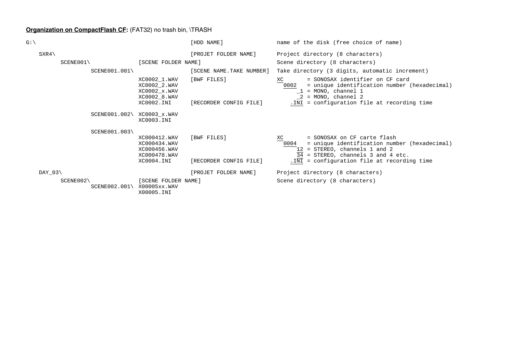# **Organization on CompactFlash CF:** (FAT32) no trash bin, \TRASH

| G:\                         |                                                                             | [HDD NAME]                            | name of the disk (free choice of name)                                                                                                                                                            |
|-----------------------------|-----------------------------------------------------------------------------|---------------------------------------|---------------------------------------------------------------------------------------------------------------------------------------------------------------------------------------------------|
| $SXR4\$                     |                                                                             | [PROJET FOLDER NAME]                  | Project directory (8 characters)                                                                                                                                                                  |
| SCENE001                    | [SCENE FOLDER NAME]                                                         |                                       | Scene directory (8 characters)                                                                                                                                                                    |
| $SCENE001.001\backslash$    |                                                                             | [SCENE NAME.TAKE NUMBER]              | Take directory (3 digits, automatic increment)                                                                                                                                                    |
|                             | XC0002_1.WAV<br>XC0002 2.WAV<br>XC0002 x.WAV<br>XC0002 8. WAV<br>XC0002.INI | [BWF FILES]<br>[RECORDER CONFIG FILE] | = SONOSAX identifier on CF card<br>XC<br>= unique identification number (hexadecimal)<br>0002<br>$1 = MONO$ , channel 1<br>$2 = MONO$ , channel 2<br>. INI = configuration file at recording time |
|                             |                                                                             |                                       |                                                                                                                                                                                                   |
|                             | SCENE001.002\ XC0003_x.WAV<br>XC0003.INI                                    |                                       |                                                                                                                                                                                                   |
| SCENE001.003\               |                                                                             |                                       |                                                                                                                                                                                                   |
|                             | XC000412.WAV<br>XC000434.WAV<br>XC000456.WAV<br>XC000478.WAV                | [BWF FILES]                           | = SONOSAX on CF carte flash<br>XC<br>0004<br>= unique identification number (hexadecimal)<br>= STEREO, channels 1 and 2<br>34<br>= STEREO, channels 3 and 4 etc.                                  |
|                             | XC0004.INI                                                                  | [RECORDER CONFIG FILE]                | . INI = configuration file at recording time                                                                                                                                                      |
| DAY $03\$                   |                                                                             | [PROJET FOLDER NAME]                  | Project directory (8 characters)                                                                                                                                                                  |
| SCENE002<br>$SCENE002.001\$ | [SCENE FOLDER NAME]<br>X00005xx.WAV<br>X00005.INI                           |                                       | Scene directory (8 characters)                                                                                                                                                                    |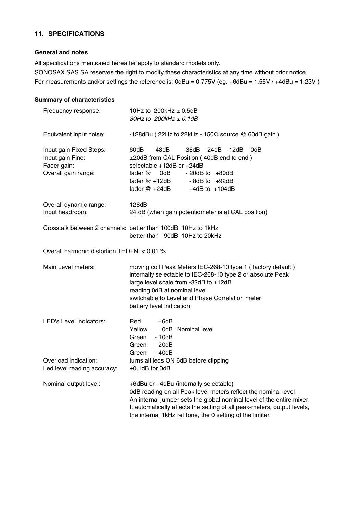# **11. SPECIFICATIONS**

# **General and notes**

All specifications mentioned hereafter apply to standard models only.

SONOSAX SAS SA reserves the right to modify these characteristics at any time without prior notice. For measurements and/or settings the reference is: 0dBu = 0.775V (eg. +6dBu = 1.55V / +4dBu = 1.23V )

# **Summary of characteristics**

| Frequency response:                                                               | 10Hz to $200k$ Hz $\pm$ 0.5dB<br>30Hz to $200$ kHz $\pm$ 0.1dB                                                                                                                                                                                                                                                           |  |  |
|-----------------------------------------------------------------------------------|--------------------------------------------------------------------------------------------------------------------------------------------------------------------------------------------------------------------------------------------------------------------------------------------------------------------------|--|--|
| Equivalent input noise:                                                           | -128dBu (22Hz to 22kHz - 150 $\Omega$ source @ 60dB gain)                                                                                                                                                                                                                                                                |  |  |
| Input gain Fixed Steps:<br>Input gain Fine:<br>Fader gain:<br>Overall gain range: | 60dB<br>48dB<br>36dB<br>24dB<br>12dB<br>0dB<br>±20dB from CAL Position (40dB end to end)<br>selectable +12dB or +24dB<br>fader @<br>0dB l<br>$-20dB$ to $+80dB$<br>fader @ +12dB<br>$-8dB$ to $+92dB$<br>fader @ +24dB<br>$+4dB$ to $+104dB$                                                                             |  |  |
| Overall dynamic range:<br>Input headroom:                                         | 128dB<br>24 dB (when gain potentiometer is at CAL position)                                                                                                                                                                                                                                                              |  |  |
|                                                                                   | Crosstalk between 2 channels: better than 100dB 10Hz to 1kHz<br>better than 90dB 10Hz to 20kHz                                                                                                                                                                                                                           |  |  |
| Overall harmonic distortion THD+N: < 0.01 %                                       |                                                                                                                                                                                                                                                                                                                          |  |  |
| Main Level meters:                                                                | moving coil Peak Meters IEC-268-10 type 1 (factory default)<br>internally selectable to IEC-268-10 type 2 or absolute Peak<br>large level scale from -32dB to +12dB<br>reading 0dB at nominal level<br>switchable to Level and Phase Correlation meter<br>battery level indication                                       |  |  |
| LED's Level indicators:                                                           | Red<br>$+6dB$<br>Yellow<br>0dB Nominal level<br>Green<br>- 10dB<br>$-20dB$<br>Green<br>Green<br>- 40dB                                                                                                                                                                                                                   |  |  |
| Overload indication:<br>Led level reading accuracy:                               | turns all leds ON 6dB before clipping<br>$\pm 0.1$ dB for 0dB                                                                                                                                                                                                                                                            |  |  |
| Nominal output level:                                                             | +6dBu or +4dBu (internally selectable)<br>0dB reading on all Peak level meters reflect the nominal level<br>An internal jumper sets the global nominal level of the entire mixer.<br>It automatically affects the setting of all peak-meters, output levels,<br>the internal 1kHz ref tone, the 0 setting of the limiter |  |  |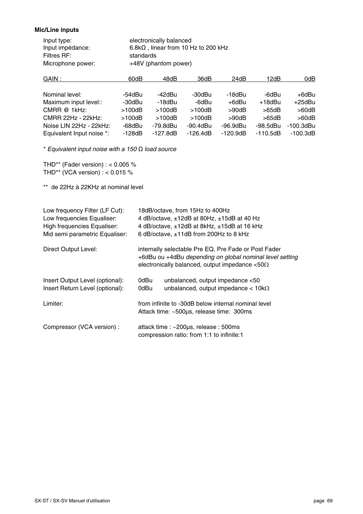### **Mic/Line inputs**

| electronically balanced                     |
|---------------------------------------------|
| $6.8k\Omega$ , linear from 10 Hz to 200 kHz |
| standards                                   |
| +48V (phantom power)                        |
|                                             |

| GAIN :                    | 60dB     | 48dB       | 36dB       | 24dB        | 12dB       | 0dB         |
|---------------------------|----------|------------|------------|-------------|------------|-------------|
|                           |          |            |            |             |            |             |
| Nominal level:            | -54dBu   | -42dBu     | -30dBu     | -18dBu      | -6dBu      | +6dBu       |
| Maximum input level::     | -30dBu   | -18dBu     | -6dBu      | +6dBu       | +18dBu     | $+25$ dBu   |
| CMRR @ 1kHz:              | >100dB   | >100dB     | >100dB     | $>90$ d $B$ | >65dB      | $>60$ d $B$ |
| CMRR 22Hz - 22kHz:        | >100dB   | >100dB     | >100dB     | >90dB       | >65dB      | $>60$ d $B$ |
| Noise LIN 22Hz - 22kHz:   | -68dBu   | -79.8dBu   | -90.4dBu   | $-96.9$ dBu | -98.5dBu   | -100.3dBu   |
| Equivalent Input noise *: | $-128dB$ | $-127.8dB$ | $-126.4dB$ | $-120.9dB$  | $-110.5dB$ | $-100.3dB$  |

\* *Equivalent input noise with a 150* Ω *load source* 

THD\*\* (Fader version) : < 0.005 % THD\*\* (VCA version)  $\cdot$  < 0.015 %

\*\* de 22Hz à 22KHz at nominal level

| Low frequency Filter (LF Cut):<br>Low frequencies Equaliser:<br><b>High frequencies Equaliser:</b><br>Mid semi parametric Equaliser: | 18dB/octave, from 15Hz to 400Hz<br>4 dB/octave, ±12dB at 80Hz, ±15dB at 40 Hz<br>4 dB/octave, ±12dB at 8kHz, ±15dB at 16 kHz<br>6 dB/octave, ±11dB from 200Hz to 8 kHz     |  |  |  |
|--------------------------------------------------------------------------------------------------------------------------------------|----------------------------------------------------------------------------------------------------------------------------------------------------------------------------|--|--|--|
| Direct Output Level:                                                                                                                 | internally selectable Pre EQ, Pre Fade or Post Fader<br>+6dBu ou +4dBu depending on global nominal level setting<br>electronically balanced, output impedance $< 50\Omega$ |  |  |  |
| Insert Output Level (optional):<br>Insert Return Level (optional):                                                                   | 0dBu<br>unbalanced, output impedance <50<br>unbalanced, output impedance $<$ 10k $\Omega$<br>0dBu                                                                          |  |  |  |
| Limiter:                                                                                                                             | from infinite to -30dB below internal nominal level<br>Attack time: ~500µs, release time: 300ms                                                                            |  |  |  |
| Compressor (VCA version) :                                                                                                           | attack time : ~200µs, release : 500ms<br>compression ratio: from 1:1 to infinite:1                                                                                         |  |  |  |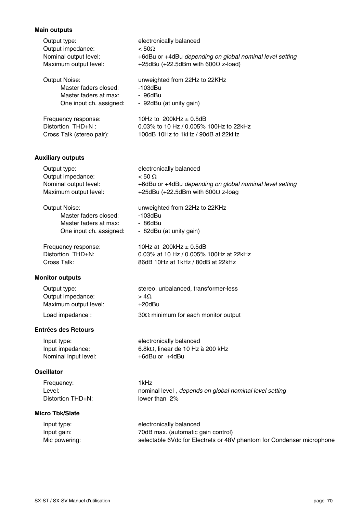# **Main outputs**

| Output type:                                            | electronically balanced                                               |
|---------------------------------------------------------|-----------------------------------------------------------------------|
| Output impedance:                                       | $< 50\Omega$                                                          |
| Nominal output level:                                   | +6dBu or +4dBu depending on global nominal level setting              |
| Maximum output level:                                   | +25dBu (+22.5dBm with 600 $\Omega$ z-load)                            |
| <b>Output Noise:</b>                                    | unweighted from 22Hz to 22KHz                                         |
| Master faders closed:                                   | $-103$ d $Bu$                                                         |
| Master faders at max:                                   | - 96dBu                                                               |
| One input ch. assigned:                                 | - 92dBu (at unity gain)                                               |
| Frequency response:                                     | 10Hz to $200k$ Hz $\pm$ 0.5dB                                         |
| Distortion THD+N:                                       | 0.03% to 10 Hz / 0.005% 100Hz to 22kHz                                |
| Cross Talk (stereo pair):                               | 100dB 10Hz to 1kHz / 90dB at 22kHz                                    |
| <b>Auxiliary outputs</b>                                |                                                                       |
| Output type:                                            | electronically balanced                                               |
| Output impedance:                                       | $< 50 \Omega$                                                         |
| Nominal output level:                                   | +6dBu or +4dBu depending on global nominal level setting              |
| Maximum output level:                                   | +25dBu (+22.5dBm with 600 $\Omega$ z-loag                             |
| <b>Output Noise:</b>                                    | unweighted from 22Hz to 22KHz                                         |
| Master faders closed:                                   | $-103$ dBu                                                            |
| Master faders at max:                                   | - 86dBu                                                               |
| One input ch. assigned:                                 | - 82dBu (at unity gain)                                               |
| Frequency response:                                     | 10Hz at 200kHz $\pm$ 0.5dB                                            |
| Distortion THD+N:                                       | 0.03% at 10 Hz / 0.005% 100Hz at 22kHz                                |
| Cross Talk:                                             | 86dB 10Hz at 1kHz / 80dB at 22kHz                                     |
| <b>Monitor outputs</b>                                  |                                                                       |
| Output type:                                            | stereo, unbalanced, transformer-less                                  |
| Output impedance:                                       | $> 4\Omega$                                                           |
| Maximum output level:                                   | $+20$ dBu                                                             |
| Load impedance :                                        | 30 $\Omega$ minimum for each monitor output                           |
| <b>Entrées des Retours</b>                              | electronically balanced                                               |
| Input type:<br>Input impedance:<br>Nominal input level: | 6.8kΩ, linear de 10 Hz à 200 kHz<br>+6dBu or +4dBu                    |
| <b>Oscillator</b>                                       |                                                                       |
| Frequency:                                              | 1kHz                                                                  |
| Level:                                                  | nominal level, depends on global nominal level setting                |
| Distortion THD+N:                                       | lower than 2%                                                         |
| <b>Micro Tbk/Slate</b>                                  |                                                                       |
| Input type:                                             | electronically balanced                                               |
| Input gain:                                             | 70dB max. (automatic gain control)                                    |
| Mic powering:                                           | selectable 6Vdc for Electrets or 48V phantom for Condenser microphone |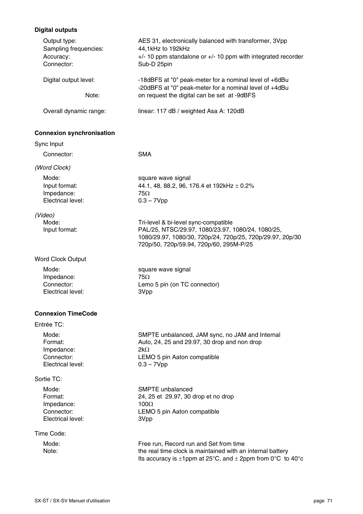# **Digital outputs**

| Output type:<br>Sampling frequencies:<br>Accuracy:<br>Connector:  | AES 31, electronically balanced with transformer, 3Vpp<br>44,1kHz to 192kHz<br>$+/-$ 10 ppm standalone or $+/-$ 10 ppm with integrated recorder<br>Sub-D 25pin                                    |  |  |
|-------------------------------------------------------------------|---------------------------------------------------------------------------------------------------------------------------------------------------------------------------------------------------|--|--|
| Digital output level:<br>Note:                                    | -18dBFS at "0" peak-meter for a nominal level of +6dBu<br>-20dBFS at "0" peak-meter for a nominal level of +4dBu<br>on request the digital can be set at -9dBFS                                   |  |  |
| Overall dynamic range:                                            | linear: 117 dB / weighted Asa A: 120dB                                                                                                                                                            |  |  |
| <b>Connexion synchronisation</b>                                  |                                                                                                                                                                                                   |  |  |
| Sync Input                                                        |                                                                                                                                                                                                   |  |  |
| Connector:                                                        | <b>SMA</b>                                                                                                                                                                                        |  |  |
| (Word Clock)                                                      |                                                                                                                                                                                                   |  |  |
| Mode:<br>Input format:<br>Impedance:<br>Electrical level:         | square wave signal<br>44.1, 48, 88.2, 96, 176.4 et 192kHz $\pm$ 0.2%<br>75Ω<br>$0.3 - 7Vpp$                                                                                                       |  |  |
| (Video)<br>Mode:<br>Input format:                                 | Tri-level & bi-level sync-compatible<br>PAL/25, NTSC/29.97, 1080/23.97, 1080/24, 1080/25,<br>1080/29.97, 1080/30, 720p/24, 720p/25, 720p/29.97, 20p/30<br>720p/50, 720p/59.94, 720p/60, 295M-P/25 |  |  |
| <b>Word Clock Output</b>                                          |                                                                                                                                                                                                   |  |  |
| Mode:<br>Impedance:<br>Connector:<br>Electrical level:            | square wave signal<br>$75\Omega$<br>Lemo 5 pin (on TC connector)<br>3Vpp                                                                                                                          |  |  |
| <b>Connexion TimeCode</b>                                         |                                                                                                                                                                                                   |  |  |
| Entrée TC:                                                        |                                                                                                                                                                                                   |  |  |
| Mode:<br>Format:<br>Impedance:<br>Connector:<br>Electrical level: | SMPTE unbalanced, JAM sync, no JAM and Internal<br>Auto, 24, 25 and 29.97, 30 drop and non drop<br>$2k\Omega$<br>LEMO 5 pin Aaton compatible<br>$0.3 - 7Vpp$                                      |  |  |
| Sortie TC:                                                        |                                                                                                                                                                                                   |  |  |
| Mode:<br>Format:<br>Impedance:<br>Connector:<br>Electrical level: | <b>SMPTE</b> unbalanced<br>24, 25 et 29.97, 30 drop et no drop<br>$100\Omega$<br>LEMO 5 pin Aaton compatible<br>3Vpp                                                                              |  |  |
| Time Code:                                                        |                                                                                                                                                                                                   |  |  |
| Mode:<br>Note:                                                    | Free run, Record run and Set from time<br>the real time clock is maintained with an internal battery<br>Its accuracy is $\pm 1$ ppm at 25°C, and $\pm 2$ ppm from 0°C to 40°c                     |  |  |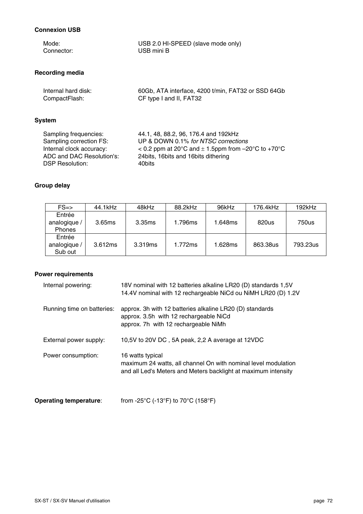### **Connexion USB**

| Mode:                     | USB 2.0 HI-SPEED (slave mode only)                       |
|---------------------------|----------------------------------------------------------|
| Connector:                | USB mini B                                               |
| Recording media           |                                                          |
| Internal hard disk:       | 60Gb, ATA interface, 4200 t/min, FAT32 or SSD 64Gb       |
| CompactFlash:             | CF type I and II, FAT32                                  |
| System                    |                                                          |
| Sampling frequencies:     | 44.1, 48, 88.2, 96, 176.4 and 192kHz                     |
| Sampling correction FS:   | UP & DOWN 0.1% for NTSC corrections                      |
| Internal clock accuracy:  | $<$ 0.2 ppm at 20°C and $\pm$ 1.5ppm from -20°C to +70°C |
| ADC and DAC Resolution's: | 24 bits, 16 bits and 16 bits dithering                   |
| <b>DSP Resolution:</b>    | 40bits                                                   |

### **Group delay**

| $FS = >$                                | 44.1kHz | 48kHz   | 88.2kHz | 96kHz   | 176.4kHz | $192$ kHz |
|-----------------------------------------|---------|---------|---------|---------|----------|-----------|
| Entrée<br>analogique /<br><b>Phones</b> | 3.65ms  | 3.35ms  | 1.796ms | 1.648ms | 820us    | 750us     |
| Entrée<br>analogique /<br>Sub out       | 3.612ms | 3.319ms | 1.772ms | 1.628ms | 863.38us | 793.23us  |

# **Power requirements**

| Internal powering:         | 18V nominal with 12 batteries alkaline LR20 (D) standards 1,5V<br>14.4V nominal with 12 rechargeable NiCd ou NiMH LR20 (D) 1.2V                      |
|----------------------------|------------------------------------------------------------------------------------------------------------------------------------------------------|
| Running time on batteries: | approx. 3h with 12 batteries alkaline LR20 (D) standards<br>approx. 3.5h with 12 rechargeable NiCd<br>approx. 7h with 12 rechargeable NiMh           |
| External power supply:     | 10,5V to 20V DC, 5A peak, 2,2 A average at 12VDC                                                                                                     |
| Power consumption:         | 16 watts typical<br>maximum 24 watts, all channel On with nominal level modulation<br>and all Led's Meters and Meters backlight at maximum intensity |

**Operating temperature:** from -25°C (-13°F) to 70°C (158°F)